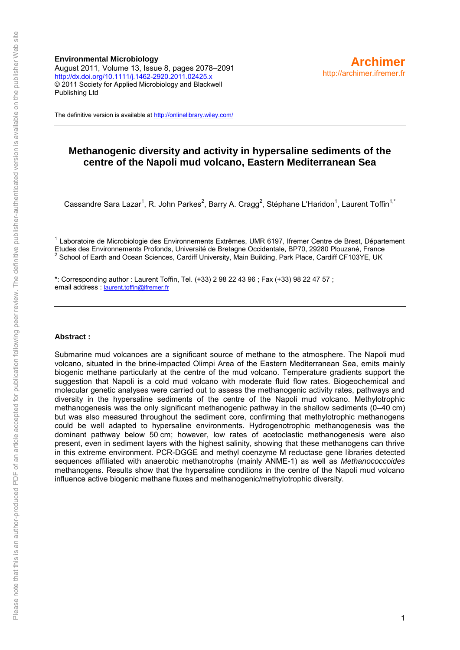**Environmental Microbiology** August 2011, Volume 13, Issue 8, pages 2078–2091 <http://dx.doi.org/10.1111/j.1462-2920.2011.02425.x> © 2011 Society for Applied Microbiology and Blackwell Publishing Ltd

The definitive version is available a[t http://onlinelibrary.wiley.com/](http://onlinelibrary.wiley.com/)

# **Methanogenic diversity and activity in hypersaline sediments of the centre of the Napoli mud volcano, Eastern Mediterranean Sea**

Cassandre Sara Lazar<sup>1</sup>, R. John Parkes<sup>2</sup>, Barry A. Cragg<sup>2</sup>, Stéphane L'Haridon<sup>1</sup>, Laurent Toffin<sup>1,\*</sup>

<sup>1</sup> Laboratoire de Microbiologie des Environnements Extrêmes, UMR 6197, Ifremer Centre de Brest, Département Etudes des Environnements Profonds, Université de Bretagne Occidentale, BP70, 29280 Plouzané, France 2 School of Earth and Ocean Sciences, Cardiff University, Main Building, Park Place, Cardiff CF103YE, UK

\*: Corresponding author : Laurent Toffin, Tel. (+33) 2 98 22 43 96 ; Fax (+33) 98 22 47 57 ; email address : [laurent.toffin@ifremer.fr](mailto:laurent.toffin@ifremer.fr)

#### **Abstract :**

Submarine mud volcanoes are a significant source of methane to the atmosphere. The Napoli mud volcano, situated in the brine-impacted Olimpi Area of the Eastern Mediterranean Sea, emits mainly biogenic methane particularly at the centre of the mud volcano. Temperature gradients support the suggestion that Napoli is a cold mud volcano with moderate fluid flow rates. Biogeochemical and molecular genetic analyses were carried out to assess the methanogenic activity rates, pathways and diversity in the hypersaline sediments of the centre of the Napoli mud volcano. Methylotrophic methanogenesis was the only significant methanogenic pathway in the shallow sediments (0–40 cm) but was also measured throughout the sediment core, confirming that methylotrophic methanogens could be well adapted to hypersaline environments. Hydrogenotrophic methanogenesis was the dominant pathway below 50 cm; however, low rates of acetoclastic methanogenesis were also present, even in sediment layers with the highest salinity, showing that these methanogens can thrive in this extreme environment. PCR-DGGE and methyl coenzyme M reductase gene libraries detected sequences affiliated with anaerobic methanotrophs (mainly ANME-1) as well as *Methanococcoides* methanogens. Results show that the hypersaline conditions in the centre of the Napoli mud volcano influence active biogenic methane fluxes and methanogenic/methylotrophic diversity.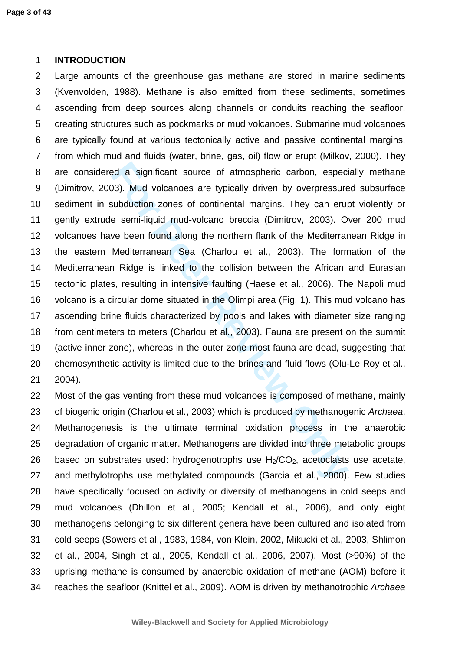#### 1 **INTRODUCTION**

istant source of atmospheric carbon, especialized as significant source of atmospheric carbon, especialized mud-volcano breccia (Dimitrov, 2003). Once been found along the northern flank of the Mediterrar Mediterrarean Sea 2 Large amounts of the greenhouse gas methane are stored in marine sediments 3 (Kvenvolden, 1988). Methane is also emitted from these sediments, sometimes 4 ascending from deep sources along channels or conduits reaching the seafloor, 5 creating structures such as pockmarks or mud volcanoes. Submarine mud volcanoes 6 are typically found at various tectonically active and passive continental margins, 7 from which mud and fluids (water, brine, gas, oil) flow or erupt (Milkov, 2000). They 8 are considered a significant source of atmospheric carbon, especially methane 9 (Dimitrov, 2003). Mud volcanoes are typically driven by overpressured subsurface 10 sediment in subduction zones of continental margins. They can erupt violently or 11 gently extrude semi-liquid mud-volcano breccia (Dimitrov, 2003). Over 200 mud 12 volcanoes have been found along the northern flank of the Mediterranean Ridge in 13 the eastern Mediterranean Sea (Charlou et al., 2003). The formation of the 14 Mediterranean Ridge is linked to the collision between the African and Eurasian 15 tectonic plates, resulting in intensive faulting (Haese et al., 2006). The Napoli mud 16 volcano is a circular dome situated in the Olimpi area (Fig. 1). This mud volcano has 17 ascending brine fluids characterized by pools and lakes with diameter size ranging 18 from centimeters to meters (Charlou et al., 2003). Fauna are present on the summit 19 (active inner zone), whereas in the outer zone most fauna are dead, suggesting that 20 chemosynthetic activity is limited due to the brines and fluid flows (Olu-Le Roy et al., 21 2004).

22 Most of the gas venting from these mud volcanoes is composed of methane, mainly 23 of biogenic origin (Charlou et al., 2003) which is produced by methanogenic Archaea. 24 Methanogenesis is the ultimate terminal oxidation process in the anaerobic 25 degradation of organic matter. Methanogens are divided into three metabolic groups 26 based on substrates used: hydrogenotrophs use  $H_2/CO_2$ , acetoclasts use acetate, 27 and methylotrophs use methylated compounds (Garcia et al., 2000). Few studies 28 have specifically focused on activity or diversity of methanogens in cold seeps and 29 mud volcanoes (Dhillon et al., 2005; Kendall et al., 2006), and only eight 30 methanogens belonging to six different genera have been cultured and isolated from 31 cold seeps (Sowers et al., 1983, 1984, von Klein, 2002, Mikucki et al., 2003, Shlimon 32 et al., 2004, Singh et al., 2005, Kendall et al., 2006, 2007). Most (>90%) of the 33 uprising methane is consumed by anaerobic oxidation of methane (AOM) before it 34 reaches the seafloor (Knittel et al., 2009). AOM is driven by methanotrophic Archaea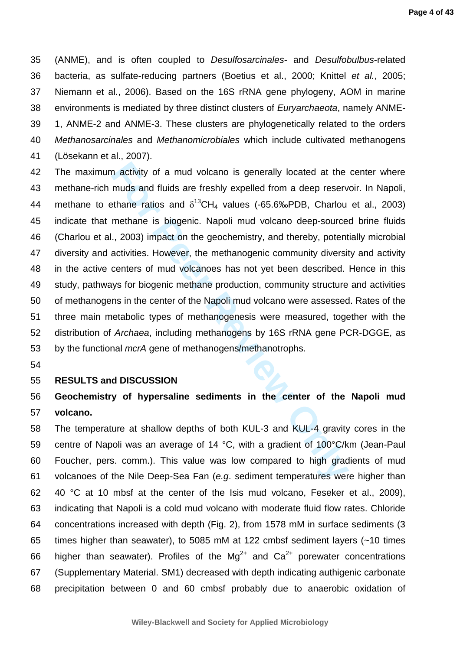35 (ANME), and is often coupled to Desulfosarcinales- and Desulfobulbus-related 36 bacteria, as sulfate-reducing partners (Boetius et al., 2000; Knittel et al., 2005; 37 Niemann et al., 2006). Based on the 16S rRNA gene phylogeny, AOM in marine 38 environments is mediated by three distinct clusters of *Euryarchaeota*, namely ANME-39 1, ANME-2 and ANME-3. These clusters are phylogenetically related to the orders 40 Methanosarcinales and Methanomicrobiales which include cultivated methanogens 41 (Lösekann et al., 2007).

In activity of a mud volcano is generally located at the<br>muds and fluids are freshly expelled from a deep reserv<br>sthane ratios and  $\delta^{13}CH_4$  values (-65.6‰PDB, Charlou<br>methane is biogenic. Napoli mud volcano deep-source 42 The maximum activity of a mud volcano is generally located at the center where 43 methane-rich muds and fluids are freshly expelled from a deep reservoir. In Napoli, 44 methane to ethane ratios and  $\delta^{13}CH_4$  values (-65.6‰PDB, Charlou et al., 2003) 45 indicate that methane is biogenic. Napoli mud volcano deep-sourced brine fluids 46 (Charlou et al., 2003) impact on the geochemistry, and thereby, potentially microbial 47 diversity and activities. However, the methanogenic community diversity and activity 48 in the active centers of mud volcanoes has not yet been described. Hence in this 49 study, pathways for biogenic methane production, community structure and activities 50 of methanogens in the center of the Napoli mud volcano were assessed. Rates of the 51 three main metabolic types of methanogenesis were measured, together with the 52 distribution of Archaea, including methanogens by 16S rRNA gene PCR-DGGE, as 53 by the functional *mcrA* gene of methanogens/methanotrophs.

54

#### 55 **RESULTS and DISCUSSION**

# 56 **Geochemistry of hypersaline sediments in the center of the Napoli mud**  57 **volcano.**

58 The temperature at shallow depths of both KUL-3 and KUL-4 gravity cores in the 59 centre of Napoli was an average of 14 °C, with a gradient of 100°C/km (Jean-Paul 60 Foucher, pers. comm.). This value was low compared to high gradients of mud 61 volcanoes of the Nile Deep-Sea Fan (e.g. sediment temperatures were higher than 62 40 °C at 10 mbsf at the center of the Isis mud volcano, Feseker et al., 2009), 63 indicating that Napoli is a cold mud volcano with moderate fluid flow rates. Chloride 64 concentrations increased with depth (Fig. 2), from 1578 mM in surface sediments (3 65 times higher than seawater), to 5085 mM at 122 cmbsf sediment layers (~10 times 66 higher than seawater). Profiles of the  $Mg^{2+}$  and  $Ca^{2+}$  porewater concentrations 67 (Supplementary Material. SM1) decreased with depth indicating authigenic carbonate 68 precipitation between 0 and 60 cmbsf probably due to anaerobic oxidation of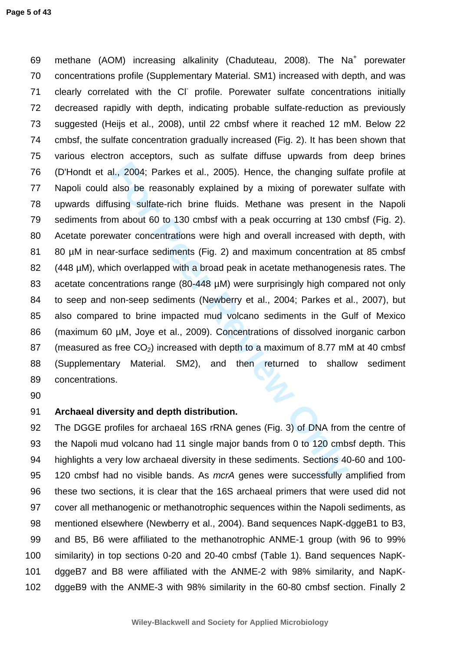II., 2004; Parkes et al., 2005). Hence, the changing sul also be reasonably explained by a mixing of porewate using sulfate-rich brine fluids. Methane was present in about 60 to 130 cmbsf with a peak occurring at 130 c wa 69 methane (AOM) increasing alkalinity (Chaduteau, 2008). The Na<sup>+</sup> porewater 70 concentrations profile (Supplementary Material. SM1) increased with depth, and was 71 clearly correlated with the CI profile. Porewater sulfate concentrations initially 72 decreased rapidly with depth, indicating probable sulfate-reduction as previously 73 suggested (Heijs et al., 2008), until 22 cmbsf where it reached 12 mM. Below 22 74 cmbsf, the sulfate concentration gradually increased (Fig. 2). It has been shown that 75 various electron acceptors, such as sulfate diffuse upwards from deep brines 76 (D'Hondt et al., 2004; Parkes et al., 2005). Hence, the changing sulfate profile at 77 Napoli could also be reasonably explained by a mixing of porewater sulfate with 78 upwards diffusing sulfate-rich brine fluids. Methane was present in the Napoli 79 sediments from about 60 to 130 cmbsf with a peak occurring at 130 cmbsf (Fig. 2). 80 Acetate porewater concentrations were high and overall increased with depth, with 81 80 µM in near-surface sediments (Fig. 2) and maximum concentration at 85 cmbsf 82 (448 µM), which overlapped with a broad peak in acetate methanogenesis rates. The 83 acetate concentrations range (80-448 µM) were surprisingly high compared not only 84 to seep and non-seep sediments (Newberry et al., 2004; Parkes et al., 2007), but 85 also compared to brine impacted mud volcano sediments in the Gulf of Mexico 86 (maximum 60 µM, Joye et al., 2009). Concentrations of dissolved inorganic carbon 87 (measured as free  $CO<sub>2</sub>$ ) increased with depth to a maximum of 8.77 mM at 40 cmbsf 88 (Supplementary Material. SM2), and then returned to shallow sediment 89 concentrations.

90

# 91 **Archaeal diversity and depth distribution.**

92 The DGGE profiles for archaeal 16S rRNA genes (Fig. 3) of DNA from the centre of 93 the Napoli mud volcano had 11 single major bands from 0 to 120 cmbsf depth. This 94 highlights a very low archaeal diversity in these sediments. Sections 40-60 and 100- 95 120 cmbsf had no visible bands. As mcrA genes were successfully amplified from 96 these two sections, it is clear that the 16S archaeal primers that were used did not 97 cover all methanogenic or methanotrophic sequences within the Napoli sediments, as 98 mentioned elsewhere (Newberry et al., 2004). Band sequences NapK-dggeB1 to B3, 99 and B5, B6 were affiliated to the methanotrophic ANME-1 group (with 96 to 99% 100 similarity) in top sections 0-20 and 20-40 cmbsf (Table 1). Band sequences NapK-101 dggeB7 and B8 were affiliated with the ANME-2 with 98% similarity, and NapK-102 dggeB9 with the ANME-3 with 98% similarity in the 60-80 cmbsf section. Finally 2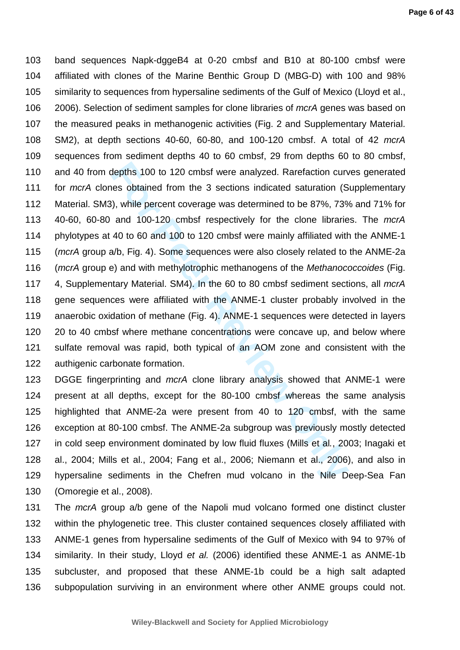depths 100 to 120 cmbsf were analyzed. Rarefaction curves obtained from the 3 sections indicated saturation (S), while percent coverage was determined to be 87%, 73% and 100-120 cmbsf respectively for the clone librarie 40 103 band sequences Napk-dggeB4 at 0-20 cmbsf and B10 at 80-100 cmbsf were 104 affiliated with clones of the Marine Benthic Group D (MBG-D) with 100 and 98% 105 similarity to sequences from hypersaline sediments of the Gulf of Mexico (Lloyd et al., 106 2006). Selection of sediment samples for clone libraries of mcrA genes was based on 107 the measured peaks in methanogenic activities (Fig. 2 and Supplementary Material. 108 SM2), at depth sections 40-60, 60-80, and 100-120 cmbsf. A total of 42 mcrA 109 sequences from sediment depths 40 to 60 cmbsf, 29 from depths 60 to 80 cmbsf, 110 and 40 from depths 100 to 120 cmbsf were analyzed. Rarefaction curves generated 111 for mcrA clones obtained from the 3 sections indicated saturation (Supplementary 112 Material. SM3), while percent coverage was determined to be 87%, 73% and 71% for 113 40-60, 60-80 and 100-120 cmbsf respectively for the clone libraries. The mcrA 114 phylotypes at 40 to 60 and 100 to 120 cmbsf were mainly affiliated with the ANME-1 115 (mcrA group a/b, Fig. 4). Some sequences were also closely related to the ANME-2a 116 (mcrA group e) and with methylotrophic methanogens of the Methanococcoides (Fig. 117 4, Supplementary Material. SM4). In the 60 to 80 cmbsf sediment sections, all mcrA 118 gene sequences were affiliated with the ANME-1 cluster probably involved in the 119 anaerobic oxidation of methane (Fig. 4). ANME-1 sequences were detected in layers 120 20 to 40 cmbsf where methane concentrations were concave up, and below where 121 sulfate removal was rapid, both typical of an AOM zone and consistent with the 122 authigenic carbonate formation.

123 DGGE fingerprinting and mcrA clone library analysis showed that ANME-1 were 124 present at all depths, except for the 80-100 cmbsf whereas the same analysis 125 highlighted that ANME-2a were present from 40 to 120 cmbsf, with the same 126 exception at 80-100 cmbsf. The ANME-2a subgroup was previously mostly detected 127 in cold seep environment dominated by low fluid fluxes (Mills et al., 2003; Inagaki et 128 al., 2004; Mills et al., 2004; Fang et al., 2006; Niemann et al., 2006), and also in 129 hypersaline sediments in the Chefren mud volcano in the Nile Deep-Sea Fan 130 (Omoregie et al., 2008).

131 The mcrA group a/b gene of the Napoli mud volcano formed one distinct cluster 132 within the phylogenetic tree. This cluster contained sequences closely affiliated with 133 ANME-1 genes from hypersaline sediments of the Gulf of Mexico with 94 to 97% of 134 similarity. In their study, Lloyd et al. (2006) identified these ANME-1 as ANME-1b 135 subcluster, and proposed that these ANME-1b could be a high salt adapted 136 subpopulation surviving in an environment where other ANME groups could not.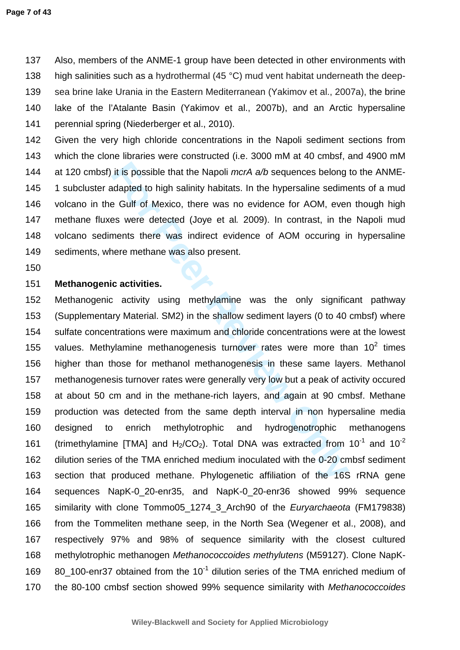137 Also, members of the ANME-1 group have been detected in other environments with 138 high salinities such as a hydrothermal (45 °C) mud vent habitat underneath the deep-139 sea brine lake Urania in the Eastern Mediterranean (Yakimov et al., 2007a), the brine 140 lake of the l'Atalante Basin (Yakimov et al., 2007b), and an Arctic hypersaline 141 perennial spring (Niederberger et al., 2010).

142 Given the very high chloride concentrations in the Napoli sediment sections from 143 which the clone libraries were constructed (i.e. 3000 mM at 40 cmbsf, and 4900 mM 144 at 120 cmbsf) it is possible that the Napoli mcrA a/b sequences belong to the ANME-145 1 subcluster adapted to high salinity habitats. In the hypersaline sediments of a mud 146 volcano in the Gulf of Mexico, there was no evidence for AOM, even though high 147 methane fluxes were detected (Joye et al. 2009). In contrast, in the Napoli mud 148 volcano sediments there was indirect evidence of AOM occuring in hypersaline 149 sediments, where methane was also present.

150

# 151 **Methanogenic activities.**

it is possible that the Napoli *mcrA a/b* sequences belong<br>adapted to high salinity habitats. In the hypersaline sedime<br>e Gulf of Mexico, there was no evidence for AOM, ever<br>s were detected (Joye et al. 2009). In contrast 152 Methanogenic activity using methylamine was the only significant pathway 153 (Supplementary Material. SM2) in the shallow sediment layers (0 to 40 cmbsf) where 154 sulfate concentrations were maximum and chloride concentrations were at the lowest 155 values. Methylamine methanogenesis turnover rates were more than  $10^2$  times 156 higher than those for methanol methanogenesis in these same layers. Methanol 157 methanogenesis turnover rates were generally very low but a peak of activity occured 158 at about 50 cm and in the methane-rich layers, and again at 90 cmbsf. Methane 159 production was detected from the same depth interval in non hypersaline media 160 designed to enrich methylotrophic and hydrogenotrophic methanogens 161 (trimethylamine [TMA] and  $H_2/CO_2$ ). Total DNA was extracted from 10<sup>-1</sup> and 10<sup>-2</sup> 162 dilution series of the TMA enriched medium inoculated with the 0-20 cmbsf sediment 163 section that produced methane. Phylogenetic affiliation of the 16S rRNA gene 164 sequences NapK-0\_20-enr35, and NapK-0\_20-enr36 showed 99% sequence 165 similarity with clone Tommo05\_1274\_3\_Arch90 of the Euryarchaeota (FM179838) 166 from the Tommeliten methane seep, in the North Sea (Wegener et al., 2008), and 167 respectively 97% and 98% of sequence similarity with the closest cultured 168 methylotrophic methanogen Methanococcoides methylutens (M59127). Clone NapK-169  $\,$  80 100-enr37 obtained from the 10<sup>-1</sup> dilution series of the TMA enriched medium of 170 the 80-100 cmbsf section showed 99% sequence similarity with Methanococcoides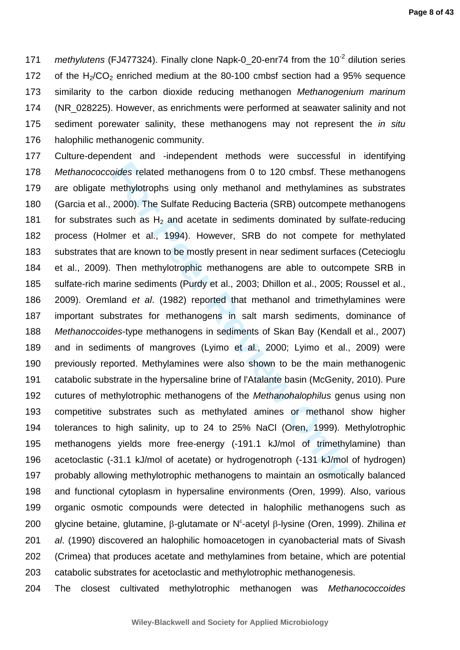171 methylutens (FJ477324). Finally clone Napk-0\_20-enr74 from the  $10^{-2}$  dilution series 172 of the  $H<sub>2</sub>/CO<sub>2</sub>$  enriched medium at the 80-100 cmbsf section had a 95% sequence 173 similarity to the carbon dioxide reducing methanogen Methanogenium marinum 174 (NR\_028225). However, as enrichments were performed at seawater salinity and not 175 sediment porewater salinity, these methanogens may not represent the *in situ* 176 halophilic methanogenic community.

oides related methanogens from 0 to 120 cmbsf. These<br>methylotrophs using only methanol and methylamines a<br>2000). The Sulfate Reducing Bacteria (SRB) outcompete<br>such as H<sub>2</sub> and acetate in sediments dominated by su<br>mer et a 177 Culture-dependent and -independent methods were successful in identifying 178 Methanococcoides related methanogens from 0 to 120 cmbsf. These methanogens 179 are obligate methylotrophs using only methanol and methylamines as substrates 180 (Garcia et al., 2000). The Sulfate Reducing Bacteria (SRB) outcompete methanogens 181 for substrates such as  $H_2$  and acetate in sediments dominated by sulfate-reducing 182 process (Holmer et al., 1994). However, SRB do not compete for methylated 183 substrates that are known to be mostly present in near sediment surfaces (Cetecioglu 184 et al., 2009). Then methylotrophic methanogens are able to outcompete SRB in 185 sulfate-rich marine sediments (Purdy et al., 2003; Dhillon et al., 2005; Roussel et al., 186 2009). Oremland et al. (1982) reported that methanol and trimethylamines were 187 important substrates for methanogens in salt marsh sediments, dominance of 188 Methanoccoides-type methanogens in sediments of Skan Bay (Kendall et al., 2007) 189 and in sediments of mangroves (Lyimo et al., 2000; Lyimo et al., 2009) were 190 previously reported. Methylamines were also shown to be the main methanogenic 191 catabolic substrate in the hypersaline brine of l'Atalante basin (McGenity, 2010). Pure 192 cutures of methylotrophic methanogens of the Methanohalophilus genus using non 193 competitive substrates such as methylated amines or methanol show higher 194 tolerances to high salinity, up to 24 to 25% NaCl (Oren, 1999). Methylotrophic 195 methanogens yields more free-energy (-191.1 kJ/mol of trimethylamine) than 196 acetoclastic (-31.1 kJ/mol of acetate) or hydrogenotroph (-131 kJ/mol of hydrogen) 197 probably allowing methylotrophic methanogens to maintain an osmotically balanced 198 and functional cytoplasm in hypersaline environments (Oren, 1999). Also, various 199 organic osmotic compounds were detected in halophilic methanogens such as 200 glycine betaine, glutamine, β-glutamate or N<sup>ε</sup>-acetyl β-lysine (Oren, 1999). Zhilina et 201 *al.* (1990) discovered an halophilic homoacetogen in cyanobacterial mats of Sivash 202 (Crimea) that produces acetate and methylamines from betaine, which are potential 203 catabolic substrates for acetoclastic and methylotrophic methanogenesis.

204 The closest cultivated methylotrophic methanogen was Methanococcoides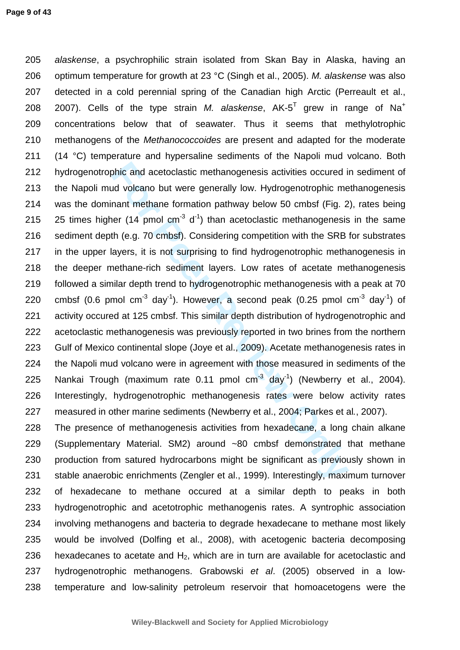bhic and acetoclastic methanogenesis activities occured in dvolcano but were generally low. Hydrogenotrophic ment methane formation pathway below 50 cmbsf (Fig. 2 per (14 pmol cm<sup>-3</sup> d<sup>-1</sup>) than acetoclastic methanogenesis 205 alaskense, a psychrophilic strain isolated from Skan Bay in Alaska, having an 206 optimum temperature for growth at 23 °C (Singh et al., 2005). M. alaskense was also 207 detected in a cold perennial spring of the Canadian high Arctic (Perreault et al., 2007). Cells of the type strain *M. alaskense*, AK-5<sup>T</sup> grew in range of Na<sup>+</sup> 208 209 concentrations below that of seawater. Thus it seems that methylotrophic 210 methanogens of the *Methanococcoides* are present and adapted for the moderate 211 (14 °C) temperature and hypersaline sediments of the Napoli mud volcano. Both 212 hydrogenotrophic and acetoclastic methanogenesis activities occured in sediment of 213 the Napoli mud volcano but were generally low. Hydrogenotrophic methanogenesis 214 was the dominant methane formation pathway below 50 cmbsf (Fig. 2), rates being 215 25 times higher (14 pmol  $cm^{-3}$  d<sup>-1</sup>) than acetoclastic methanogenesis in the same 216 sediment depth (e.g. 70 cmbsf). Considering competition with the SRB for substrates 217 in the upper layers, it is not surprising to find hydrogenotrophic methanogenesis in 218 the deeper methane-rich sediment layers. Low rates of acetate methanogenesis 219 followed a similar depth trend to hydrogenotrophic methanogenesis with a peak at 70 220 cmbsf (0.6 pmol cm<sup>-3</sup> day<sup>-1</sup>). However, a second peak (0.25 pmol cm<sup>-3</sup> day<sup>-1</sup>) of 221 activity occured at 125 cmbsf. This similar depth distribution of hydrogenotrophic and 222 acetoclastic methanogenesis was previously reported in two brines from the northern 223 Gulf of Mexico continental slope (Joye et al., 2009). Acetate methanogenesis rates in 224 the Napoli mud volcano were in agreement with those measured in sediments of the 225 Nankai Trough (maximum rate  $0.11$  pmol  $cm^{-3}$  day<sup>-1</sup>) (Newberry et al., 2004). 226 Interestingly, hydrogenotrophic methanogenesis rates were below activity rates 227 measured in other marine sediments (Newberry et al., 2004; Parkes et al., 2007).

228 The presence of methanogenesis activities from hexadecane, a long chain alkane 229 (Supplementary Material. SM2) around ~80 cmbsf demonstrated that methane 230 production from satured hydrocarbons might be significant as previously shown in 231 stable anaerobic enrichments (Zengler et al., 1999). Interestingly, maximum turnover 232 of hexadecane to methane occured at a similar depth to peaks in both 233 hydrogenotrophic and acetotrophic methanogenis rates. A syntrophic association 234 involving methanogens and bacteria to degrade hexadecane to methane most likely 235 would be involved (Dolfing et al., 2008), with acetogenic bacteria decomposing 236 hexadecanes to acetate and  $H_2$ , which are in turn are available for acetoclastic and 237 hydrogenotrophic methanogens. Grabowski et al. (2005) observed in a low-238 temperature and low-salinity petroleum reservoir that homoacetogens were the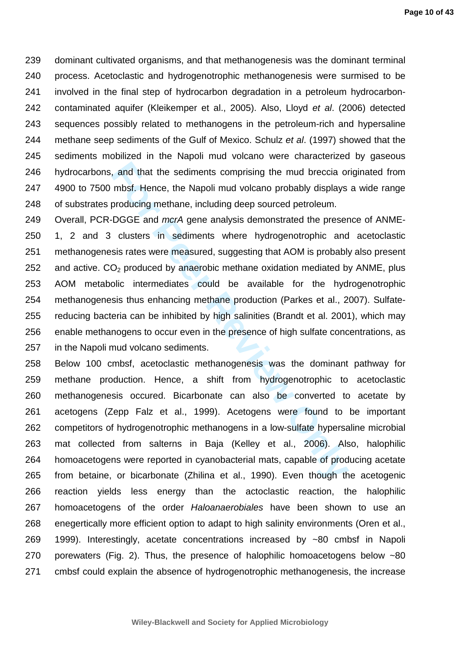239 dominant cultivated organisms, and that methanogenesis was the dominant terminal 240 process. Acetoclastic and hydrogenotrophic methanogenesis were surmised to be 241 involved in the final step of hydrocarbon degradation in a petroleum hydrocarbon-242 contaminated aquifer (Kleikemper et al., 2005). Also, Lloyd et al. (2006) detected 243 sequences possibly related to methanogens in the petroleum-rich and hypersaline 244 methane seep sediments of the Gulf of Mexico. Schulz et al. (1997) showed that the 245 sediments mobilized in the Napoli mud volcano were characterized by gaseous 246 hydrocarbons, and that the sediments comprising the mud breccia originated from 247 4900 to 7500 mbsf. Hence, the Napoli mud volcano probably displays a wide range 248 of substrates producing methane, including deep sourced petroleum.

and that the sediments comprising the mud breccia om mbsf. Hence, the Napoli mud volcano probably displays producing methane, including deep sourced petroleum.<br>DGGE and *mcrA* gene analysis demonstrated the preser clusters 249 Overall, PCR-DGGE and mcrA gene analysis demonstrated the presence of ANME-250 1, 2 and 3 clusters in sediments where hydrogenotrophic and acetoclastic 251 methanogenesis rates were measured, suggesting that AOM is probably also present 252 and active.  $CO<sub>2</sub>$  produced by anaerobic methane oxidation mediated by ANME, plus 253 AOM metabolic intermediates could be available for the hydrogenotrophic 254 methanogenesis thus enhancing methane production (Parkes et al., 2007). Sulfate-255 reducing bacteria can be inhibited by high salinities (Brandt et al. 2001), which may 256 enable methanogens to occur even in the presence of high sulfate concentrations, as 257 in the Napoli mud volcano sediments.

258 Below 100 cmbsf, acetoclastic methanogenesis was the dominant pathway for 259 methane production. Hence, a shift from hydrogenotrophic to acetoclastic 260 methanogenesis occured. Bicarbonate can also be converted to acetate by 261 acetogens (Zepp Falz et al., 1999). Acetogens were found to be important 262 competitors of hydrogenotrophic methanogens in a low-sulfate hypersaline microbial 263 mat collected from salterns in Baja (Kelley et al., 2006). Also, halophilic 264 homoacetogens were reported in cyanobacterial mats, capable of producing acetate 265 from betaine, or bicarbonate (Zhilina et al., 1990). Even though the acetogenic 266 reaction yields less energy than the actoclastic reaction, the halophilic 267 homoacetogens of the order Haloanaerobiales have been shown to use an 268 enegertically more efficient option to adapt to high salinity environments (Oren et al., 269 1999). Interestingly, acetate concentrations increased by ~80 cmbsf in Napoli 270 porewaters (Fig. 2). Thus, the presence of halophilic homoacetogens below ~80 271 cmbsf could explain the absence of hydrogenotrophic methanogenesis, the increase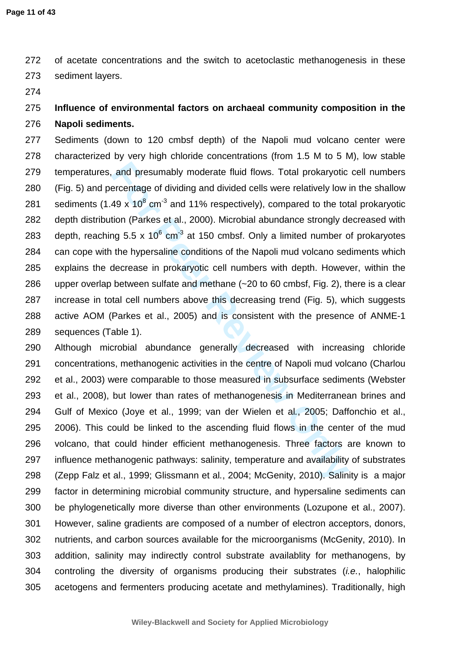272 of acetate concentrations and the switch to acetoclastic methanogenesis in these 273 sediment layers.

274

# 275 **Influence of environmental factors on archaeal community composition in the**  276 **Napoli sediments.**

and presumably moderate fluid flows. Total prokaryotic<br>ercentage of dividing and divided cells were relatively low<br>49 x 10<sup>8</sup> cm<sup>-3</sup> and 11% respectively), compared to the tot<br>tion (Parkes et al., 2000). Microbial abundan 277 Sediments (down to 120 cmbsf depth) of the Napoli mud volcano center were 278 characterized by very high chloride concentrations (from 1.5 M to 5 M), low stable 279 temperatures, and presumably moderate fluid flows. Total prokaryotic cell numbers 280 (Fig. 5) and percentage of dividing and divided cells were relatively low in the shallow 281 sediments (1.49 x 10 $^{8}$  cm<sup>-3</sup> and 11% respectively), compared to the total prokaryotic 282 depth distribution (Parkes et al., 2000). Microbial abundance strongly decreased with 283 depth, reaching 5.5 x 10 $^6$  cm<sup>-3</sup> at 150 cmbsf. Only a limited number of prokaryotes 284 can cope with the hypersaline conditions of the Napoli mud volcano sediments which 285 explains the decrease in prokaryotic cell numbers with depth. However, within the 286 upper overlap between sulfate and methane (~20 to 60 cmbsf, Fig. 2), there is a clear 287 increase in total cell numbers above this decreasing trend (Fig. 5), which suggests 288 active AOM (Parkes et al., 2005) and is consistent with the presence of ANME-1 289 sequences (Table 1).

290 Although microbial abundance generally decreased with increasing chloride 291 concentrations, methanogenic activities in the centre of Napoli mud volcano (Charlou 292 et al., 2003) were comparable to those measured in subsurface sediments (Webster 293 et al., 2008), but lower than rates of methanogenesis in Mediterranean brines and 294 Gulf of Mexico (Joye et al., 1999; van der Wielen et al., 2005; Daffonchio et al., 295 2006). This could be linked to the ascending fluid flows in the center of the mud 296 volcano, that could hinder efficient methanogenesis. Three factors are known to 297 influence methanogenic pathways: salinity, temperature and availability of substrates 298 (Zepp Falz et al., 1999; Glissmann et al., 2004; McGenity, 2010). Salinity is a major 299 factor in determining microbial community structure, and hypersaline sediments can 300 be phylogenetically more diverse than other environments (Lozupone et al., 2007). 301 However, saline gradients are composed of a number of electron acceptors, donors, 302 nutrients, and carbon sources available for the microorganisms (McGenity, 2010). In 303 addition, salinity may indirectly control substrate availablity for methanogens, by 304 controling the diversity of organisms producing their substrates (*i.e.*, halophilic 305 acetogens and fermenters producing acetate and methylamines). Traditionally, high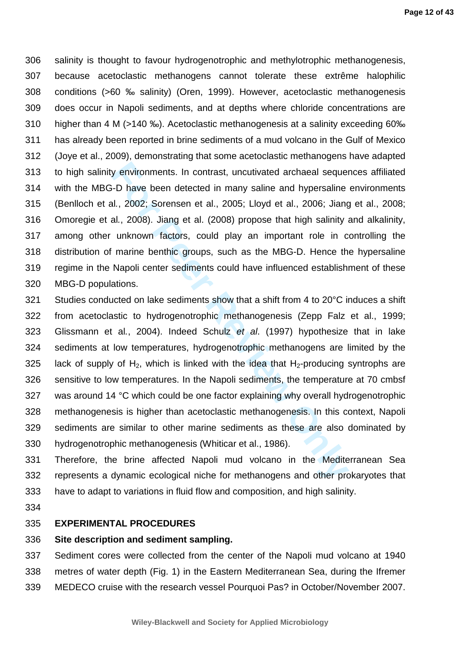306 salinity is thought to favour hydrogenotrophic and methylotrophic methanogenesis, 307 because acetoclastic methanogens cannot tolerate these extrême halophilic 308 conditions (>60 ‰ salinity) (Oren, 1999). However, acetoclastic methanogenesis 309 does occur in Napoli sediments, and at depths where chloride concentrations are 310 higher than 4 M (>140 ‰). Acetoclastic methanogenesis at a salinity exceeding 60‰ 311 has already been reported in brine sediments of a mud volcano in the Gulf of Mexico 312 (Joye et al., 2009), demonstrating that some acetoclastic methanogens have adapted 313 to high salinity environments. In contrast, uncutivated archaeal sequences affiliated 314 with the MBG-D have been detected in many saline and hypersaline environments 315 (Benlloch et al., 2002; Sorensen et al., 2005; Lloyd et al., 2006; Jiang et al., 2008; 316 Omoregie et al., 2008). Jiang et al. (2008) propose that high salinity and alkalinity, 317 among other unknown factors, could play an important role in controlling the 318 distribution of marine benthic groups, such as the MBG-D. Hence the hypersaline 319 regime in the Napoli center sediments could have influenced establishment of these 320 MBG-D populations.

- y environments. In contrast, uncutivated archaeal sequent-D have been detected in many saline and hypersaline and, 2002; Sorensen et al., 2005; Lloyd et al., 2006; Jiang, al., 2008). Jiang et al. (2008) propose that high s 321 Studies conducted on lake sediments show that a shift from 4 to 20°C induces a shift 322 from acetoclastic to hydrogenotrophic methanogenesis (Zepp Falz et al., 1999; 323 Glissmann et al., 2004). Indeed Schulz et al. (1997) hypothesize that in lake 324 sediments at low temperatures, hydrogenotrophic methanogens are limited by the 325 lack of supply of  $H_2$ , which is linked with the idea that  $H_2$ -producing syntrophs are 326 sensitive to low temperatures. In the Napoli sediments, the temperature at 70 cmbsf 327 was around 14 °C which could be one factor explaining why overall hydrogenotrophic 328 methanogenesis is higher than acetoclastic methanogenesis. In this context, Napoli 329 sediments are similar to other marine sediments as these are also dominated by 330 hydrogenotrophic methanogenesis (Whiticar et al., 1986).
- 331 Therefore, the brine affected Napoli mud volcano in the Mediterranean Sea 332 represents a dynamic ecological niche for methanogens and other prokaryotes that 333 have to adapt to variations in fluid flow and composition, and high salinity.
- 334

## 335 **EXPERIMENTAL PROCEDURES**

#### 336 **Site description and sediment sampling.**

337 Sediment cores were collected from the center of the Napoli mud volcano at 1940 338 metres of water depth (Fig. 1) in the Eastern Mediterranean Sea, during the Ifremer 339 MEDECO cruise with the research vessel Pourquoi Pas? in October/November 2007.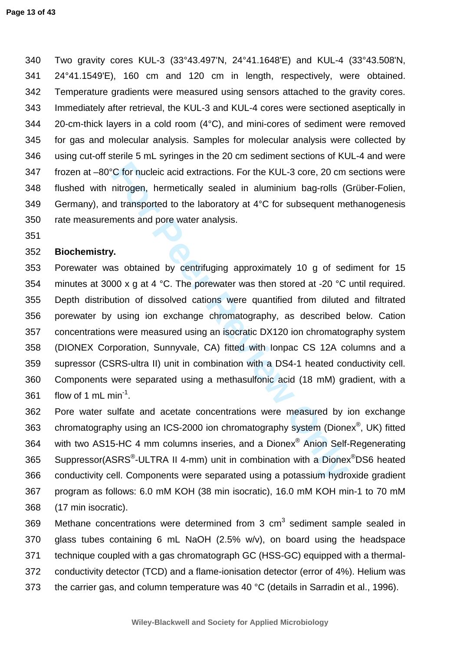340 Two gravity cores KUL-3 (33°43.497'N, 24°41.1648'E) and KUL-4 (33°43.508'N, 341 24°41.1549'E), 160 cm and 120 cm in length, respectively, were obtained. 342 Temperature gradients were measured using sensors attached to the gravity cores. 343 Immediately after retrieval, the KUL-3 and KUL-4 cores were sectioned aseptically in 344 20-cm-thick layers in a cold room (4°C), and mini-cores of sediment were removed 345 for gas and molecular analysis. Samples for molecular analysis were collected by 346 using cut-off sterile 5 mL syringes in the 20 cm sediment sections of KUL-4 and were 347 frozen at –80°C for nucleic acid extractions. For the KUL-3 core, 20 cm sections were 348 flushed with nitrogen, hermetically sealed in aluminium bag-rolls (Grüber-Folien, 349 Germany), and transported to the laboratory at  $4^{\circ}$ C for subsequent methanogenesis 350 rate measurements and pore water analysis.

351

## 352 **Biochemistry.**

C for nucleic acid extractions. For the KUL-3 core, 20 cm<br>nitrogen, hermetically sealed in aluminium bag-rolls (C<br>d transported to the laboratory at 4°C for subsequent me<br>nents and pore water analysis.<br><br><br><br><br><br><br>**r.**<br><br><br><br>**n.**<br><br> 353 Porewater was obtained by centrifuging approximately 10 g of sediment for 15 354 minutes at 3000 x g at 4 °C. The porewater was then stored at -20 °C until required. 355 Depth distribution of dissolved cations were quantified from diluted and filtrated 356 porewater by using ion exchange chromatography, as described below. Cation 357 concentrations were measured using an isocratic DX120 ion chromatography system 358 (DIONEX Corporation, Sunnyvale, CA) fitted with Ionpac CS 12A columns and a 359 supressor (CSRS-ultra II) unit in combination with a DS4-1 heated conductivity cell. 360 Components were separated using a methasulfonic acid (18 mM) gradient, with a 361 flow of 1 mL min<sup>-1</sup>.

362 Pore water sulfate and acetate concentrations were measured by ion exchange 363  $-$  chromatography using an ICS-2000 ion chromatography system (Dionex $^{\circledast}$ , UK) fitted 364 vith two AS15-HC 4 mm columns inseries, and a Dionex® Anion Self-Regenerating 365 Suppressor(ASRS<sup>®</sup>-ULTRA II 4-mm) unit in combination with a Dionex<sup>®</sup>DS6 heated 366 conductivity cell. Components were separated using a potassium hydroxide gradient 367 program as follows: 6.0 mM KOH (38 min isocratic), 16.0 mM KOH min-1 to 70 mM 368 (17 min isocratic).

369 Methane concentrations were determined from 3  $cm<sup>3</sup>$  sediment sample sealed in 370 glass tubes containing 6 mL NaOH (2.5% w/v), on board using the headspace 371 technique coupled with a gas chromatograph GC (HSS-GC) equipped with a thermal-372 conductivity detector (TCD) and a flame-ionisation detector (error of 4%). Helium was 373 the carrier gas, and column temperature was 40 °C (details in Sarradin et al., 1996).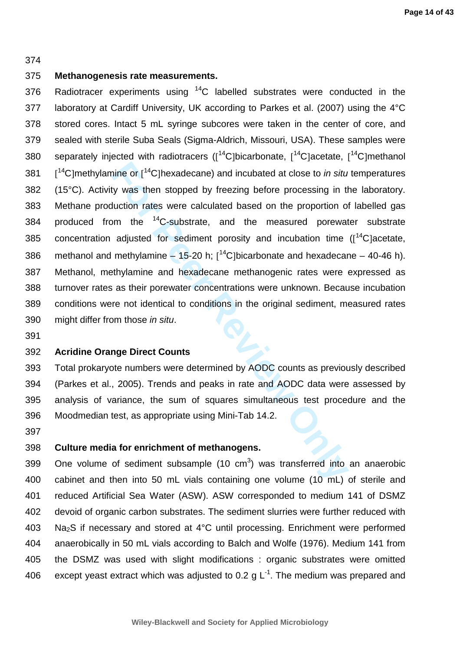#### 374

#### 375 **Methanogenesis rate measurements.**

nine or [<sup>14</sup>C]hexadecane) and incubated at close to *in situty* was then stopped by freezing before processing in thuction rates were calculated based on the proportion of m the <sup>14</sup>C-substrate, and the measured porewat a 376 Radiotracer experiments using  $14$ C labelled substrates were conducted in the 377 laboratory at Cardiff University, UK according to Parkes et al. (2007) using the 4°C 378 stored cores. Intact 5 mL syringe subcores were taken in the center of core, and 379 sealed with sterile Suba Seals (Sigma-Aldrich, Missouri, USA). These samples were 380 separately injected with radiotracers ( $[$ <sup>14</sup>C]bicarbonate,  $[$ <sup>14</sup>C]acetate,  $[$ <sup>14</sup>C]methanol 381  $\left[$ <sup>14</sup>C]methylamine or  $\left[$ <sup>14</sup>C]hexadecane) and incubated at close to *in situ* temperatures 382 (15°C). Activity was then stopped by freezing before processing in the laboratory. 383 Methane production rates were calculated based on the proportion of labelled gas 384 produced from the  $^{14}$ C-substrate, and the measured porewater substrate 385 concentration adjusted for sediment porosity and incubation time  $(I^{14}C)$ acetate, 386 methanol and methylamine  $-$  15-20 h;  $[$ <sup>14</sup>C]bicarbonate and hexadecane  $-$  40-46 h). 387 Methanol, methylamine and hexadecane methanogenic rates were expressed as 388 turnover rates as their porewater concentrations were unknown. Because incubation 389 conditions were not identical to conditions in the original sediment, measured rates 390 might differ from those in situ.

391

#### 392 **Acridine Orange Direct Counts**

393 Total prokaryote numbers were determined by AODC counts as previously described 394 (Parkes et al., 2005). Trends and peaks in rate and AODC data were assessed by 395 analysis of variance, the sum of squares simultaneous test procedure and the 396 Moodmedian test, as appropriate using Mini-Tab 14.2.

397

# 398 **Culture media for enrichment of methanogens.**

399 One volume of sediment subsample (10  $cm<sup>3</sup>$ ) was transferred into an anaerobic 400 cabinet and then into 50 mL vials containing one volume (10 mL) of sterile and 401 reduced Artificial Sea Water (ASW). ASW corresponded to medium 141 of DSMZ 402 devoid of organic carbon substrates. The sediment slurries were further reduced with 403 Na2S if necessary and stored at 4°C until processing. Enrichment were performed 404 anaerobically in 50 mL vials according to Balch and Wolfe (1976). Medium 141 from 405 the DSMZ was used with slight modifications : organic substrates were omitted 406 except yeast extract which was adjusted to 0.2 g  $L^{-1}$ . The medium was prepared and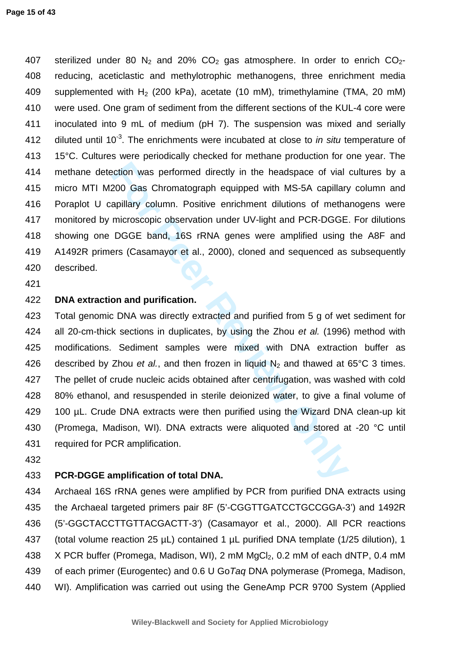#### **Page 15 of 43**

407 sterilized under 80 N<sub>2</sub> and 20% CO<sub>2</sub> gas atmosphere. In order to enrich CO<sub>2</sub>-408 reducing, aceticlastic and methylotrophic methanogens, three enrichment media 409 supplemented with  $H_2$  (200 kPa), acetate (10 mM), trimethylamine (TMA, 20 mM) 410 were used. One gram of sediment from the different sections of the KUL-4 core were 411 inoculated into 9 mL of medium (pH 7). The suspension was mixed and serially 412 diluted until 10 $<sup>3</sup>$ . The enrichments were incubated at close to *in situ* temperature of</sup> 413 15°C. Cultures were periodically checked for methane production for one year. The 414 methane detection was performed directly in the headspace of vial cultures by a 415 micro MTI M200 Gas Chromatograph equipped with MS-5A capillary column and 416 Poraplot U capillary column. Positive enrichment dilutions of methanogens were 417 monitored by microscopic observation under UV-light and PCR-DGGE. For dilutions 418 showing one DGGE band, 16S rRNA genes were amplified using the A8F and 419 A1492R primers (Casamayor et al., 2000), cloned and sequenced as subsequently 420 described.

421

# 422 **DNA extraction and purification.**

ection was performed directly in the headspace of vial<br>200 Gas Chromatograph equipped with MS-5A capillary<br>apillary column. Positive enrichment dilutions of metha<br>microscopic observation under UV-light and PCR-DGGE.<br>DGGE b 423 Total genomic DNA was directly extracted and purified from 5 g of wet sediment for 424 all 20-cm-thick sections in duplicates, by using the Zhou et al. (1996) method with 425 modifications. Sediment samples were mixed with DNA extraction buffer as 426 described by Zhou et al., and then frozen in liquid  $N_2$  and thawed at 65°C 3 times. 427 The pellet of crude nucleic acids obtained after centrifugation, was washed with cold 428 80% ethanol, and resuspended in sterile deionized water, to give a final volume of 429 100 µL. Crude DNA extracts were then purified using the Wizard DNA clean-up kit 430 (Promega, Madison, WI). DNA extracts were aliquoted and stored at -20 °C until 431 required for PCR amplification.

432

## 433 **PCR-DGGE amplification of total DNA.**

434 Archaeal 16S rRNA genes were amplified by PCR from purified DNA extracts using 435 the Archaeal targeted primers pair 8F (5'-CGGTTGATCCTGCCGGA-3') and 1492R 436 (5'-GGCTACCTTGTTACGACTT-3') (Casamayor et al., 2000). All PCR reactions 437 (total volume reaction 25 µL) contained 1 µL purified DNA template (1/25 dilution), 1 438 X PCR buffer (Promega, Madison, WI), 2 mM MgCl<sub>2</sub>, 0.2 mM of each dNTP, 0.4 mM 439 of each primer (Eurogentec) and 0.6 U GoTaq DNA polymerase (Promega, Madison, 440 WI). Amplification was carried out using the GeneAmp PCR 9700 System (Applied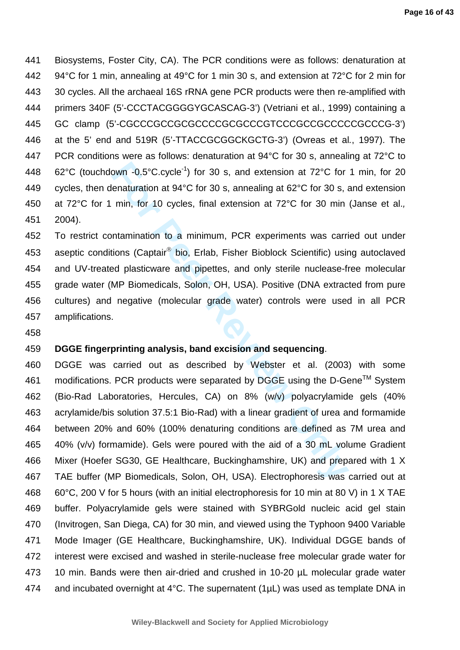441 Biosystems, Foster City, CA). The PCR conditions were as follows: denaturation at 442 94°C for 1 min, annealing at 49°C for 1 min 30 s, and extension at 72°C for 2 min for 443 30 cycles. All the archaeal 16S rRNA gene PCR products were then re-amplified with 444 primers 340F (5'-CCCTACGGGGYGCASCAG-3') (Vetriani et al., 1999) containing a 445 GC clamp (5'-CGCCCGCCGCGCCCCGCGCCCGTCCCGCCGCCCCCGCCCG-3') 446 at the 5' end and 519R (5'-TTACCGCGGCKGCTG-3') (Ovreas et al., 1997). The 447 PCR conditions were as follows: denaturation at 94°C for 30 s, annealing at 72°C to 448 62°C (touchdown -0.5°C.cycle<sup>-1</sup>) for 30 s, and extension at 72°C for 1 min, for 20 449 cycles, then denaturation at 94°C for 30 s, annealing at 62°C for 30 s, and extension 450 at 72°C for 1 min, for 10 cycles, final extension at 72°C for 30 min (Janse et al., 451 2004).

452 To restrict contamination to a minimum, PCR experiments was carried out under 453 aseptic conditions (Captair<sup>®</sup> bio, Erlab, Fisher Bioblock Scientific) using autoclaved 454 and UV-treated plasticware and pipettes, and only sterile nuclease-free molecular 455 grade water (MP Biomedicals, Solon, OH, USA). Positive (DNA extracted from pure 456 cultures) and negative (molecular grade water) controls were used in all PCR 457 amplifications.

458

# 459 **DGGE fingerprinting analysis, band excision and sequencing**.

own -0.5°C.cycle<sup>-1</sup>) for 30 s, and extension at 72°C for<br>lenaturation at 94°C for 30 s, annealing at 62°C for 30 s, a<br>min, for 10 cycles, final extension at 72°C for 30 min<br>ntamination to a minimum, PCR experiments was ca 460 DGGE was carried out as described by Webster et al. (2003) with some 461 modifications. PCR products were separated by DGGE using the D-Gene<sup>TM</sup> System 462 (Bio-Rad Laboratories, Hercules, CA) on 8% (w/v) polyacrylamide gels (40% 463 acrylamide/bis solution 37.5:1 Bio-Rad) with a linear gradient of urea and formamide 464 between 20% and 60% (100% denaturing conditions are defined as 7M urea and 465 40% (v/v) formamide). Gels were poured with the aid of a 30 mL volume Gradient 466 Mixer (Hoefer SG30, GE Healthcare, Buckinghamshire, UK) and prepared with 1 X 467 TAE buffer (MP Biomedicals, Solon, OH, USA). Electrophoresis was carried out at 468 60°C, 200 V for 5 hours (with an initial electrophoresis for 10 min at 80 V) in 1 X TAE 469 buffer. Polyacrylamide gels were stained with SYBRGold nucleic acid gel stain 470 (Invitrogen, San Diega, CA) for 30 min, and viewed using the Typhoon 9400 Variable 471 Mode Imager (GE Healthcare, Buckinghamshire, UK). Individual DGGE bands of 472 interest were excised and washed in sterile-nuclease free molecular grade water for 473 10 min. Bands were then air-dried and crushed in 10-20 µL molecular grade water 474 and incubated overnight at 4°C. The supernatent (1µL) was used as template DNA in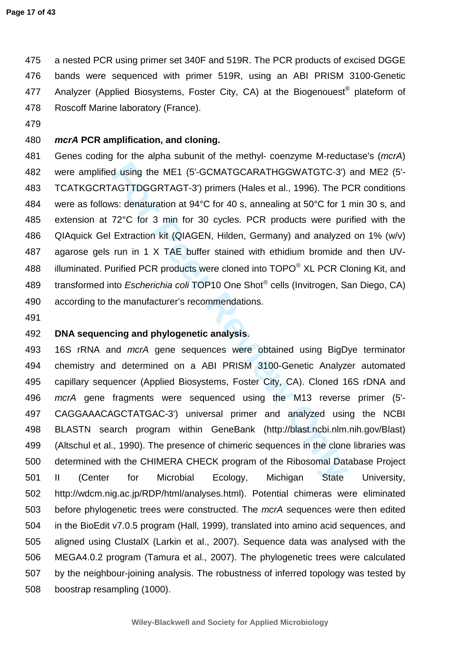475 a nested PCR using primer set 340F and 519R. The PCR products of excised DGGE 476 bands were sequenced with primer 519R, using an ABI PRISM 3100-Genetic 477 Analyzer (Applied Biosystems, Foster City, CA) at the Biogenouest® plateform of 478 Roscoff Marine laboratory (France).

479

# 480 **mcrA PCR amplification, and cloning.**

d using the ME1 (5'-GCMATGCARATHGGWATGTC-3')<br>AGTTDGGRTAGT-3') primers (Hales et al., 1996). The Pos:<br>tenaturation at 94°C for 40 s, annealing at 50°C for 1<br>72°C for 3 min for 30 cycles. PCR products were pure<br>Extraction ki 481 Genes coding for the alpha subunit of the methyl- coenzyme M-reductase's (mcrA) 482 were amplified using the ME1 (5'-GCMATGCARATHGGWATGTC-3') and ME2 (5'- 483 TCATKGCRTAGTTDGGRTAGT-3') primers (Hales et al., 1996). The PCR conditions 484 were as follows: denaturation at 94°C for 40 s, annealing at 50°C for 1 min 30 s, and 485 extension at 72°C for 3 min for 30 cycles. PCR products were purified with the 486 QIAquick Gel Extraction kit (QIAGEN, Hilden, Germany) and analyzed on 1% (w/v) 487 agarose gels run in 1 X TAE buffer stained with ethidium bromide and then UV-488 illuminated. Purified PCR products were cloned into TOPO® XL PCR Cloning Kit, and 489 transformed into Escherichia coli TOP10 One Shot® cells (Invitrogen, San Diego, CA) 490 according to the manufacturer's recommendations.

491

# 492 **DNA sequencing and phylogenetic analysis**.

493 16S rRNA and mcrA gene sequences were obtained using BigDye terminator 494 chemistry and determined on a ABI PRISM 3100-Genetic Analyzer automated 495 capillary sequencer (Applied Biosystems, Foster City, CA). Cloned 16S rDNA and 496 mcrA gene fragments were sequenced using the M13 reverse primer (5'- 497 CAGGAAACAGCTATGAC-3') universal primer and analyzed using the NCBI 498 BLASTN search program within GeneBank (http://blast.ncbi.nlm.nih.gov/Blast) 499 (Altschul et al., 1990). The presence of chimeric sequences in the clone libraries was 500 determined with the CHIMERA CHECK program of the Ribosomal Database Project 501 II (Center for Microbial Ecology, Michigan State University, 502 http://wdcm.nig.ac.jp/RDP/html/analyses.html). Potential chimeras were eliminated 503 before phylogenetic trees were constructed. The mcrA sequences were then edited 504 in the BioEdit v7.0.5 program (Hall, 1999), translated into amino acid sequences, and 505 aligned using ClustalX (Larkin et al., 2007). Sequence data was analysed with the 506 MEGA4.0.2 program (Tamura et al., 2007). The phylogenetic trees were calculated 507 by the neighbour-joining analysis. The robustness of inferred topology was tested by 508 boostrap resampling (1000).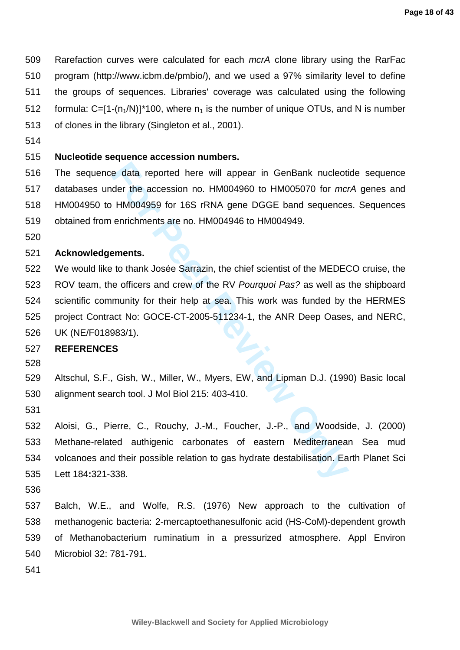509 Rarefaction curves were calculated for each mcrA clone library using the RarFac 510 program (http://www.icbm.de/pmbio/), and we used a 97% similarity level to define 511 the groups of sequences. Libraries' coverage was calculated using the following 512 formula:  $C=[1-(n_1/N)]^*$ 100, where  $n_1$  is the number of unique OTUs, and N is number 513 of clones in the library (Singleton et al., 2001).

514

# 515 **Nucleotide sequence accession numbers.**

516 The sequence data reported here will appear in GenBank nucleotide sequence 517 databases under the accession no. HM004960 to HM005070 for mcrA genes and 518 HM004950 to HM004959 for 16S rRNA gene DGGE band sequences. Sequences 519 obtained from enrichments are no. HM004946 to HM004949.

520

#### 521 **Acknowledgements.**

e data reported here will appear in GenBank nucleotider the accession no. HM004960 to HM005070 for *mcl*<br>HM004959 for 16S rRNA gene DGGE band sequence:<br>enrichments are no. HM004946 to HM004949.<br>**sments.**<br>to thank Josée Sar 522 We would like to thank Josée Sarrazin, the chief scientist of the MEDECO cruise, the 523 ROV team, the officers and crew of the RV Pourquoi Pas? as well as the shipboard 524 scientific community for their help at sea. This work was funded by the HERMES 525 project Contract No: GOCE-CT-2005-511234-1, the ANR Deep Oases, and NERC, 526 UK (NE/F018983/1).

#### 527 **REFERENCES**

528

529 Altschul, S.F., Gish, W., Miller, W., Myers, EW, and Lipman D.J. (1990) Basic local 530 alignment search tool. J Mol Biol 215: 403-410.

531

532 Aloisi, G., Pierre, C., Rouchy, J.-M., Foucher, J.-P., and Woodside, J. (2000) 533 Methane-related authigenic carbonates of eastern Mediterranean Sea mud 534 volcanoes and their possible relation to gas hydrate destabilisation. Earth Planet Sci 535 Lett 184**:**321-338.

536

537 Balch, W.E., and Wolfe, R.S. (1976) New approach to the cultivation of 538 methanogenic bacteria: 2-mercaptoethanesulfonic acid (HS-CoM)-dependent growth 539 of Methanobacterium ruminatium in a pressurized atmosphere. Appl Environ 540 Microbiol 32: 781-791.

541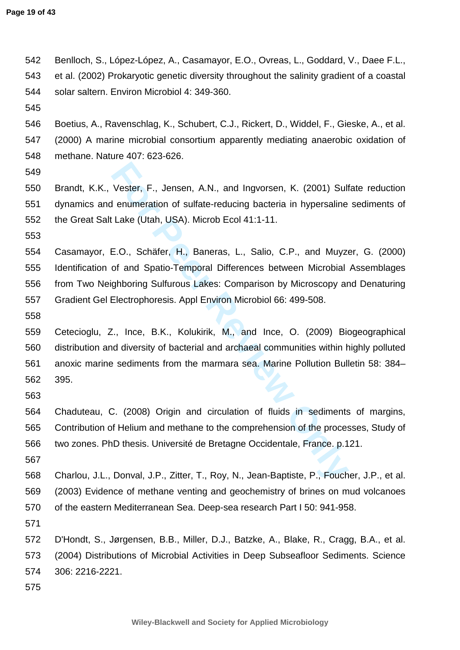542 Benlloch, S., López-López, A., Casamayor, E.O., Ovreas, L., Goddard, V., Daee F.L., 543 et al. (2002) Prokaryotic genetic diversity throughout the salinity gradient of a coastal 544 solar saltern. Environ Microbiol 4: 349-360.

545

546 Boetius, A., Ravenschlag, K., Schubert, C.J., Rickert, D., Widdel, F., Gieske, A., et al. 547 (2000) A marine microbial consortium apparently mediating anaerobic oxidation of 548 methane. Nature 407: 623-626.

549

550 Brandt, K.K., Vester, F., Jensen, A.N., and Ingvorsen, K. (2001) Sulfate reduction 551 dynamics and enumeration of sulfate-reducing bacteria in hypersaline sediments of 552 the Great Salt Lake (Utah, USA). Microb Ecol 41:1-11.

553

Vester, F., Jensen, A.N., and Ingvorsen, K. (2001) Sulf<br> **Formalization** of sulfate-reducing bacteria in hypersaline<br>
Lake (Utah, USA). Microb Ecol 41:1-11.<br>
E.O., Schäfer, H., Baneras, L., Salio, C.P., and Muyzo<br>
of and S 554 Casamayor, E.O., Schäfer, H., Baneras, L., Salio, C.P., and Muyzer, G. (2000) 555 Identification of and Spatio-Temporal Differences between Microbial Assemblages 556 from Two Neighboring Sulfurous Lakes: Comparison by Microscopy and Denaturing 557 Gradient Gel Electrophoresis. Appl Environ Microbiol 66: 499-508.

558

559 Cetecioglu, Z., Ince, B.K., Kolukirik, M., and Ince, O. (2009) Biogeographical 560 distribution and diversity of bacterial and archaeal communities within highly polluted 561 anoxic marine sediments from the marmara sea. Marine Pollution Bulletin 58: 384– 562 395.

563

564 Chaduteau, C. (2008) Origin and circulation of fluids in sediments of margins, 565 Contribution of Helium and methane to the comprehension of the processes, Study of 566 two zones. PhD thesis. Université de Bretagne Occidentale, France. p.121.

567

568 Charlou, J.L., Donval, J.P., Zitter, T., Roy, N., Jean-Baptiste, P., Foucher, J.P., et al. 569 (2003) Evidence of methane venting and geochemistry of brines on mud volcanoes 570 of the eastern Mediterranean Sea. Deep-sea research Part I 50: 941-958.

571

572 D'Hondt, S., Jørgensen, B.B., Miller, D.J., Batzke, A., Blake, R., Cragg, B.A., et al. 573 (2004) Distributions of Microbial Activities in Deep Subseafloor Sediments. Science 574 306: 2216-2221.

575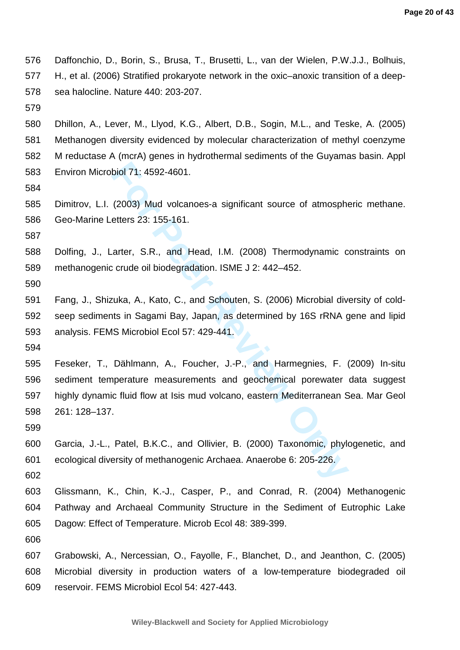576 Daffonchio, D., Borin, S., Brusa, T., Brusetti, L., van der Wielen, P.W.J.J., Bolhuis, 577 H., et al. (2006) Stratified prokaryote network in the oxic–anoxic transition of a deep-578 sea halocline. Nature 440: 203-207.

579

580 Dhillon, A., Lever, M., Llyod, K.G., Albert, D.B., Sogin, M.L., and Teske, A. (2005) 581 Methanogen diversity evidenced by molecular characterization of methyl coenzyme 582 M reductase A (mcrA) genes in hydrothermal sediments of the Guyamas basin. Appl 583 Environ Microbiol 71: 4592-4601.

584

585 Dimitrov, L.I. (2003) Mud volcanoes-a significant source of atmospheric methane. 586 Geo-Marine Letters 23: 155-161.

587

588 Dolfing, J., Larter, S.R., and Head, I.M. (2008) Thermodynamic constraints on 589 methanogenic crude oil biodegradation. ISME J 2: 442–452.

590

591 Fang, J., Shizuka, A., Kato, C., and Schouten, S. (2006) Microbial diversity of cold-592 seep sediments in Sagami Bay, Japan, as determined by 16S rRNA gene and lipid 593 analysis. FEMS Microbiol Ecol 57: 429-441.

594

biol 71: 4592-4601.<br>
(2003) Mud volcanoes-a significant source of atmosphe<br>
teters 23: 155-161.<br>
arter, S.R., and Head, I.M. (2008) Thermodynamic c<br>
crude oil biodegradation. ISME J 2: 442–452.<br>
ruka, A., Kato, C., and Sch 595 Feseker, T., Dählmann, A., Foucher, J.-P., and Harmegnies, F. (2009) In-situ 596 sediment temperature measurements and geochemical porewater data suggest 597 highly dynamic fluid flow at Isis mud volcano, eastern Mediterranean Sea. Mar Geol 598 261: 128–137.

599

600 Garcia, J.-L., Patel, B.K.C., and Ollivier, B. (2000) Taxonomic, phylogenetic, and 601 ecological diversity of methanogenic Archaea. Anaerobe 6: 205-226.

602

603 Glissmann, K., Chin, K.-J., Casper, P., and Conrad, R. (2004) Methanogenic 604 Pathway and Archaeal Community Structure in the Sediment of Eutrophic Lake 605 Dagow: Effect of Temperature. Microb Ecol 48: 389-399.

606

607 Grabowski, A., Nercessian, O., Fayolle, F., Blanchet, D., and Jeanthon, C. (2005) 608 Microbial diversity in production waters of a low-temperature biodegraded oil 609 reservoir. FEMS Microbiol Ecol 54: 427-443.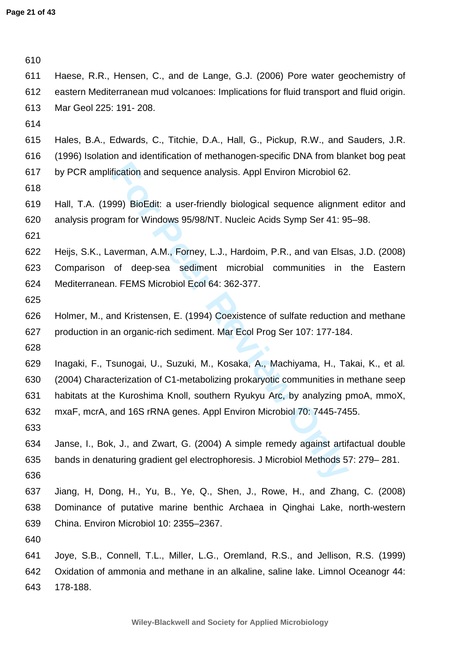| 610 |                                                                                         |
|-----|-----------------------------------------------------------------------------------------|
| 611 | Haese, R.R., Hensen, C., and de Lange, G.J. (2006) Pore water geochemistry of           |
| 612 | eastern Mediterranean mud volcanoes: Implications for fluid transport and fluid origin. |
| 613 | Mar Geol 225: 191-208.                                                                  |
| 614 |                                                                                         |
| 615 | Hales, B.A., Edwards, C., Titchie, D.A., Hall, G., Pickup, R.W., and Sauders, J.R.      |
| 616 | (1996) Isolation and identification of methanogen-specific DNA from blanket bog peat    |
| 617 | by PCR amplification and sequence analysis. Appl Environ Microbiol 62.                  |
| 618 |                                                                                         |
| 619 | Hall, T.A. (1999) BioEdit: a user-friendly biological sequence alignment editor and     |
| 620 | analysis program for Windows 95/98/NT. Nucleic Acids Symp Ser 41: 95-98.                |
| 621 |                                                                                         |
| 622 | Heijs, S.K., Laverman, A.M., Forney, L.J., Hardoim, P.R., and van Elsas, J.D. (2008)    |
| 623 | Comparison of deep-sea sediment microbial communities in the Eastern                    |
| 624 | Mediterranean. FEMS Microbiol Ecol 64: 362-377.                                         |
| 625 |                                                                                         |
| 626 | Holmer, M., and Kristensen, E. (1994) Coexistence of sulfate reduction and methane      |
| 627 | production in an organic-rich sediment. Mar Ecol Prog Ser 107: 177-184.                 |
| 628 |                                                                                         |
| 629 | Inagaki, F., Tsunogai, U., Suzuki, M., Kosaka, A., Machiyama, H., Takai, K., et al.     |
| 630 | (2004) Characterization of C1-metabolizing prokaryotic communities in methane seep      |
| 631 | habitats at the Kuroshima Knoll, southern Ryukyu Arc, by analyzing pmoA, mmoX,          |
| 632 | mxaF, mcrA, and 16S rRNA genes. Appl Environ Microbiol 70: 7445-7455.                   |
| 633 |                                                                                         |
| 634 | Janse, I., Bok, J., and Zwart, G. (2004) A simple remedy against artifactual double     |
| 635 | bands in denaturing gradient gel electrophoresis. J Microbiol Methods 57: 279–281.      |
| 636 |                                                                                         |
| 637 | Jiang, H, Dong, H., Yu, B., Ye, Q., Shen, J., Rowe, H., and Zhang, C. (2008)            |
| 638 | Dominance of putative marine benthic Archaea in Qinghai Lake, north-western             |
| 639 | China. Environ Microbiol 10: 2355-2367.                                                 |
| 640 |                                                                                         |
| 641 | Joye, S.B., Connell, T.L., Miller, L.G., Oremland, R.S., and Jellison, R.S. (1999)      |
| 642 | Oxidation of ammonia and methane in an alkaline, saline lake. Limnol Oceanogr 44:       |
| 643 | 178-188.                                                                                |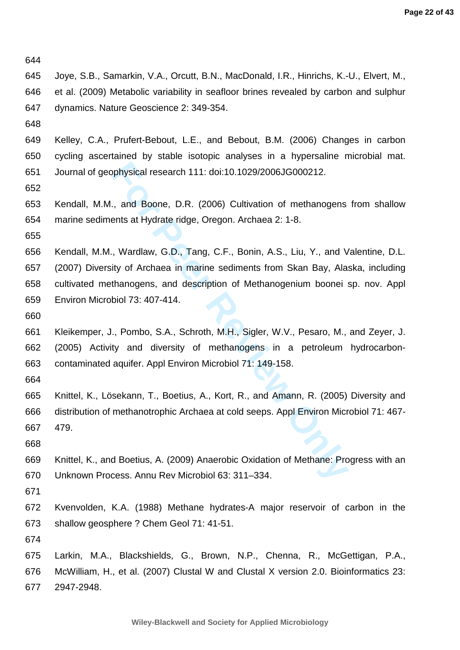644

- 645 Joye, S.B., Samarkin, V.A., Orcutt, B.N., MacDonald, I.R., Hinrichs, K.-U., Elvert, M., 646 et al. (2009) Metabolic variability in seafloor brines revealed by carbon and sulphur 647 dynamics. Nature Geoscience 2: 349-354.
- 648

649 Kelley, C.A., Prufert-Bebout, L.E., and Bebout, B.M. (2006) Changes in carbon 650 cycling ascertained by stable isotopic analyses in a hypersaline microbial mat. 651 Journal of geophysical research 111: doi:10.1029/2006JG000212.

652

653 Kendall, M.M., and Boone, D.R. (2006) Cultivation of methanogens from shallow 654 marine sediments at Hydrate ridge, Oregon. Archaea 2: 1-8.

655

physical research 111: doi:10.1029/2006JG000212.<br>
1., and Boone, D.R. (2006) Cultivation of methanogens<br>
ents at Hydrate ridge, Oregon. Archaea 2: 1-8.<br>
1. Wardlaw, G.D., Tang, C.F., Bonin, A.S., Liu, Y., and V<br>
ity of Arc 656 Kendall, M.M., Wardlaw, G.D., Tang, C.F., Bonin, A.S., Liu, Y., and Valentine, D.L. 657 (2007) Diversity of Archaea in marine sediments from Skan Bay, Alaska, including 658 cultivated methanogens, and description of Methanogenium boonei sp. nov. Appl 659 Environ Microbiol 73: 407-414.

660

661 Kleikemper, J., Pombo, S.A., Schroth, M.H., Sigler, W.V., Pesaro, M., and Zeyer, J. 662 (2005) Activity and diversity of methanogens in a petroleum hydrocarbon-663 contaminated aquifer. Appl Environ Microbiol 71: 149-158.

664

665 Knittel, K., Lösekann, T., Boetius, A., Kort, R., and Amann, R. (2005) Diversity and 666 distribution of methanotrophic Archaea at cold seeps. Appl Environ Microbiol 71: 467- 667 479.

668

669 Knittel, K., and Boetius, A. (2009) Anaerobic Oxidation of Methane: Progress with an 670 Unknown Process. Annu Rev Microbiol 63: 311–334.

671

672 Kvenvolden, K.A. (1988) Methane hydrates-A major reservoir of carbon in the 673 shallow geosphere ? Chem Geol 71: 41-51.

674

675 Larkin, M.A., Blackshields, G., Brown, N.P., Chenna, R., McGettigan, P.A., 676 McWilliam, H., et al. (2007) Clustal W and Clustal X version 2.0. Bioinformatics 23: 677 2947-2948.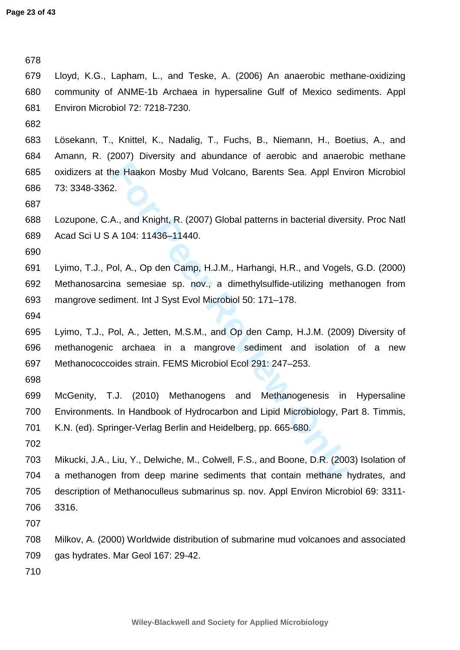The Haakon Mosby Mud Volcano, Barents Sea. Appl Env<br>
2.<br> **Formula A.**, and Knight, R. (2007) Global patterns in bacterial divers<br>
A 104: 11436–11440.<br> **Formula A.**, Op den Camp, H.J.M., Harhangi, H.R., and Vogels<br>
a semesi 678 679 Lloyd, K.G., Lapham, L., and Teske, A. (2006) An anaerobic methane-oxidizing 680 community of ANME-1b Archaea in hypersaline Gulf of Mexico sediments. Appl 681 Environ Microbiol 72: 7218-7230. 682 683 Lösekann, T., Knittel, K., Nadalig, T., Fuchs, B., Niemann, H., Boetius, A., and 684 Amann, R. (2007) Diversity and abundance of aerobic and anaerobic methane 685 oxidizers at the Haakon Mosby Mud Volcano, Barents Sea. Appl Environ Microbiol 686 73: 3348-3362. 687 688 Lozupone, C.A., and Knight, R. (2007) Global patterns in bacterial diversity. Proc Natl 689 Acad Sci U S A 104: 11436–11440. 690 691 Lyimo, T.J., Pol, A., Op den Camp, H.J.M., Harhangi, H.R., and Vogels, G.D. (2000) 692 Methanosarcina semesiae sp. nov., a dimethylsulfide-utilizing methanogen from 693 mangrove sediment. Int J Syst Evol Microbiol 50: 171–178. 694 695 Lyimo, T.J., Pol, A., Jetten, M.S.M., and Op den Camp, H.J.M. (2009) Diversity of 696 methanogenic archaea in a mangrove sediment and isolation of a new 697 Methanococcoides strain. FEMS Microbiol Ecol 291: 247–253. 698 699 McGenity, T.J. (2010) Methanogens and Methanogenesis in Hypersaline 700 Environments. In Handbook of Hydrocarbon and Lipid Microbiology, Part 8. Timmis, 701 K.N. (ed). Springer-Verlag Berlin and Heidelberg, pp. 665-680. 702 703 Mikucki, J.A., Liu, Y., Delwiche, M., Colwell, F.S., and Boone, D.R. (2003) Isolation of 704 a methanogen from deep marine sediments that contain methane hydrates, and 705 description of Methanoculleus submarinus sp. nov. Appl Environ Microbiol 69: 3311- 706 3316. 707 708 Milkov, A. (2000) Worldwide distribution of submarine mud volcanoes and associated 709 gas hydrates. Mar Geol 167: 29-42. 710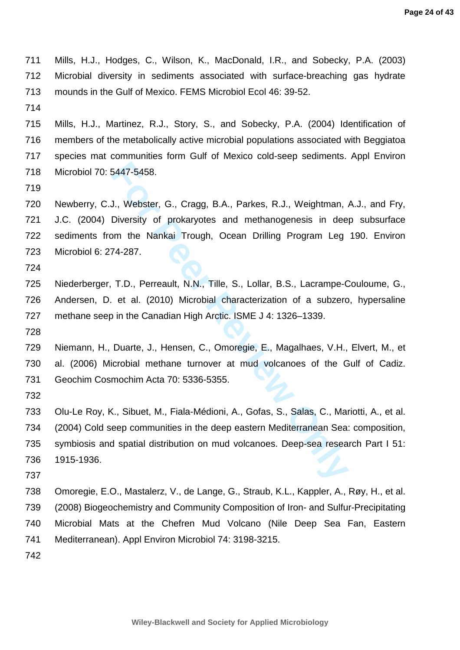711 Mills, H.J., Hodges, C., Wilson, K., MacDonald, I.R., and Sobecky, P.A. (2003) 712 Microbial diversity in sediments associated with surface-breaching gas hydrate 713 mounds in the Gulf of Mexico. FEMS Microbiol Ecol 46: 39-52.

714

715 Mills, H.J., Martinez, R.J., Story, S., and Sobecky, P.A. (2004) Identification of 716 members of the metabolically active microbial populations associated with Beggiatoa 717 species mat communities form Gulf of Mexico cold-seep sediments. Appl Environ 718 Microbiol 70: 5447-5458.

719

5447-5458.<br> **J., Webster, G., Cragg, B.A., Parkes, R.J., Weightman, <br>
Diversity of prokaryotes and methanogenesis in dee<br>
m the Nankai Trough, Ocean Drilling Program Leg<br>
74-287.<br>
T.D., Perreault, N.N., Tille, S., Lollar,** 720 Newberry, C.J., Webster, G., Cragg, B.A., Parkes, R.J., Weightman, A.J., and Fry, 721 J.C. (2004) Diversity of prokaryotes and methanogenesis in deep subsurface 722 sediments from the Nankai Trough, Ocean Drilling Program Leg 190. Environ 723 Microbiol 6: 274-287.

724

725 Niederberger, T.D., Perreault, N.N., Tille, S., Lollar, B.S., Lacrampe-Couloume, G., 726 Andersen, D. et al. (2010) Microbial characterization of a subzero, hypersaline 727 methane seep in the Canadian High Arctic. ISME J 4: 1326–1339.

728

729 Niemann, H., Duarte, J., Hensen, C., Omoregie, E., Magalhaes, V.H., Elvert, M., et 730 al. (2006) Microbial methane turnover at mud volcanoes of the Gulf of Cadiz. 731 Geochim Cosmochim Acta 70: 5336-5355.

732

733 Olu-Le Roy, K., Sibuet, M., Fiala-Médioni, A., Gofas, S., Salas, C., Mariotti, A., et al. 734 (2004) Cold seep communities in the deep eastern Mediterranean Sea: composition, 735 symbiosis and spatial distribution on mud volcanoes. Deep-sea research Part I 51: 736 1915-1936.

737

738 Omoregie, E.O., Mastalerz, V., de Lange, G., Straub, K.L., Kappler, A., Røy, H., et al. 739 (2008) Biogeochemistry and Community Composition of Iron- and Sulfur-Precipitating 740 Microbial Mats at the Chefren Mud Volcano (Nile Deep Sea Fan, Eastern 741 Mediterranean). Appl Environ Microbiol 74: 3198-3215.

742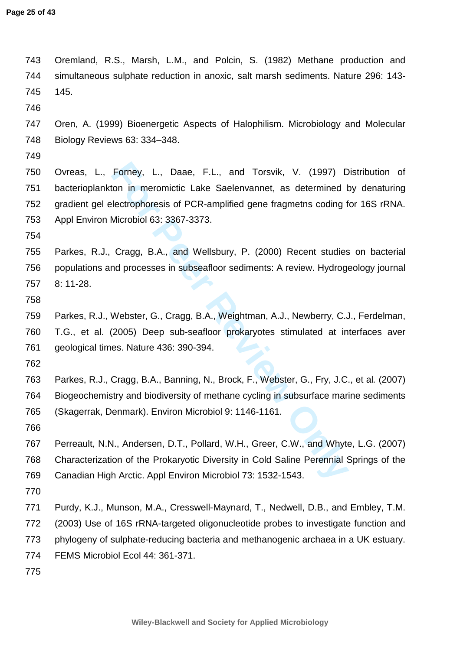Forney, L., Daae, F.L., and Torsvik, V. (1997) D<br>
ion in meromictic Lake Saelenvannet, as determined b<br>
lectrophoresis of PCR-amplified gene fragmetns coding f<br>
Microbiol 63: 3367-3373.<br>
Cragg, B.A., and Wellsbury, P. (200 743 Oremland, R.S., Marsh, L.M., and Polcin, S. (1982) Methane production and 744 simultaneous sulphate reduction in anoxic, salt marsh sediments. Nature 296: 143- 745 145. 746 747 Oren, A. (1999) Bioenergetic Aspects of Halophilism. Microbiology and Molecular 748 Biology Reviews 63: 334–348. 749 750 Ovreas, L., Forney, L., Daae, F.L., and Torsvik, V. (1997) Distribution of 751 bacterioplankton in meromictic Lake Saelenvannet, as determined by denaturing 752 gradient gel electrophoresis of PCR-amplified gene fragmetns coding for 16S rRNA. 753 Appl Environ Microbiol 63: 3367-3373. 754 755 Parkes, R.J., Cragg, B.A., and Wellsbury, P. (2000) Recent studies on bacterial 756 populations and processes in subseafloor sediments: A review. Hydrogeology journal 757 8: 11-28. 758 759 Parkes, R.J., Webster, G., Cragg, B.A., Weightman, A.J., Newberry, C.J., Ferdelman, 760 T.G., et al. (2005) Deep sub-seafloor prokaryotes stimulated at interfaces aver 761 geological times. Nature 436: 390-394. 762 763 Parkes, R.J., Cragg, B.A., Banning, N., Brock, F., Webster, G., Fry, J.C., et al. (2007) 764 Biogeochemistry and biodiversity of methane cycling in subsurface marine sediments 765 (Skagerrak, Denmark). Environ Microbiol 9: 1146-1161. 766 767 Perreault, N.N., Andersen, D.T., Pollard, W.H., Greer, C.W., and Whyte, L.G. (2007) 768 Characterization of the Prokaryotic Diversity in Cold Saline Perennial Springs of the 769 Canadian High Arctic. Appl Environ Microbiol 73: 1532-1543. 770 771 Purdy, K.J., Munson, M.A., Cresswell-Maynard, T., Nedwell, D.B., and Embley, T.M. 772 (2003) Use of 16S rRNA-targeted oligonucleotide probes to investigate function and 773 phylogeny of sulphate-reducing bacteria and methanogenic archaea in a UK estuary. 774 FEMS Microbiol Ecol 44: 361-371. 775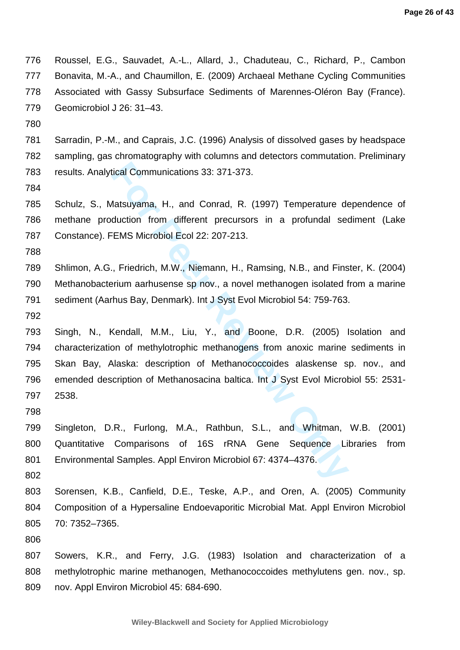776 Roussel, E.G., Sauvadet, A.-L., Allard, J., Chaduteau, C., Richard, P., Cambon 777 Bonavita, M.-A., and Chaumillon, E. (2009) Archaeal Methane Cycling Communities 778 Associated with Gassy Subsurface Sediments of Marennes-Oléron Bay (France). 779 Geomicrobiol J 26: 31–43.

780

781 Sarradin, P.-M., and Caprais, J.C. (1996) Analysis of dissolved gases by headspace 782 sampling, gas chromatography with columns and detectors commutation. Preliminary 783 results. Analytical Communications 33: 371-373.

784

785 Schulz, S., Matsuyama, H., and Conrad, R. (1997) Temperature dependence of 786 methane production from different precursors in a profundal sediment (Lake 787 Constance). FEMS Microbiol Ecol 22: 207-213.

788

789 Shlimon, A.G., Friedrich, M.W., Niemann, H., Ramsing, N.B., and Finster, K. (2004) 790 Methanobacterium aarhusense sp nov., a novel methanogen isolated from a marine 791 sediment (Aarhus Bay, Denmark). Int J Syst Evol Microbiol 54: 759-763.

792

rical Communications 33: 371-373.<br> **For Peer Review And Condingle 1987** Temperature deduction from different precursors in a profundal set EMS Microbiol Ecol 22: 207-213.<br> **For Peer Review Only And Peer Review Only And Pee** 793 Singh, N., Kendall, M.M., Liu, Y., and Boone, D.R. (2005) Isolation and 794 characterization of methylotrophic methanogens from anoxic marine sediments in 795 Skan Bay, Alaska: description of Methanococcoides alaskense sp. nov., and 796 emended description of Methanosacina baltica. Int J Syst Evol Microbiol 55: 2531- 797 2538.

798

799 Singleton, D.R., Furlong, M.A., Rathbun, S.L., and Whitman, W.B. (2001) 800 Quantitative Comparisons of 16S rRNA Gene Sequence Libraries from 801 Environmental Samples. Appl Environ Microbiol 67: 4374-4376.

802

803 Sorensen, K.B., Canfield, D.E., Teske, A.P., and Oren, A. (2005) Community 804 Composition of a Hypersaline Endoevaporitic Microbial Mat. Appl Environ Microbiol 805 70: 7352–7365.

806

807 Sowers, K.R., and Ferry, J.G. (1983) Isolation and characterization of a 808 methylotrophic marine methanogen, Methanococcoides methylutens gen. nov., sp. 809 nov. Appl Environ Microbiol 45: 684-690.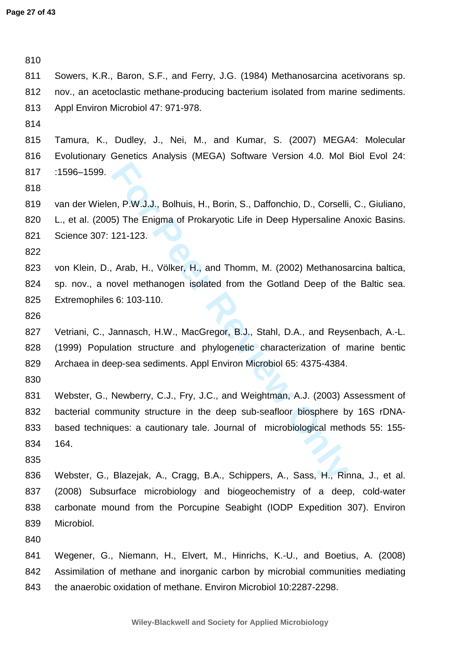n, P.W.J.J., Bolhuis, H., Borin, S., Daffonchio, D., Corselli<br>
5) The Enigma of Prokaryotic Life in Deep Hypersaline A<br>
121-123.<br>
Arab, H., Völker, H., and Thomm, M. (2002) Methanosa<br>
ovel methanogen isolated from the Gotl 810 811 Sowers, K.R., Baron, S.F., and Ferry, J.G. (1984) Methanosarcina acetivorans sp. 812 nov., an acetoclastic methane-producing bacterium isolated from marine sediments. 813 Appl Environ Microbiol 47: 971-978. 814 815 Tamura, K., Dudley, J., Nei, M., and Kumar, S. (2007) MEGA4: Molecular 816 Evolutionary Genetics Analysis (MEGA) Software Version 4.0. Mol Biol Evol 24: 817 :1596–1599. 818 819 van der Wielen, P.W.J.J., Bolhuis, H., Borin, S., Daffonchio, D., Corselli, C., Giuliano, 820 L., et al. (2005) The Enigma of Prokaryotic Life in Deep Hypersaline Anoxic Basins. 821 Science 307: 121-123. 822 823 von Klein, D., Arab, H., Völker, H., and Thomm, M. (2002) Methanosarcina baltica, 824 sp. nov., a novel methanogen isolated from the Gotland Deep of the Baltic sea. 825 Extremophiles 6: 103-110. 826 827 Vetriani, C., Jannasch, H.W., MacGregor, B.J., Stahl, D.A., and Reysenbach, A.-L. 828 (1999) Population structure and phylogenetic characterization of marine bentic 829 Archaea in deep-sea sediments. Appl Environ Microbiol 65: 4375-4384. 830 831 Webster, G., Newberry, C.J., Fry, J.C., and Weightman, A.J. (2003) Assessment of 832 bacterial community structure in the deep sub-seafloor biosphere by 16S rDNA-833 based techniques: a cautionary tale. Journal of microbiological methods 55: 155- 834 164. 835 836 Webster, G., Blazejak, A., Cragg, B.A., Schippers, A., Sass, H., Rinna, J., et al. 837 (2008) Subsurface microbiology and biogeochemistry of a deep, cold-water 838 carbonate mound from the Porcupine Seabight (IODP Expedition 307). Environ 839 Microbiol. 840 841 Wegener, G., Niemann, H., Elvert, M., Hinrichs, K.-U., and Boetius, A. (2008) 842 Assimilation of methane and inorganic carbon by microbial communities mediating 843 the anaerobic oxidation of methane. Environ Microbiol 10:2287-2298.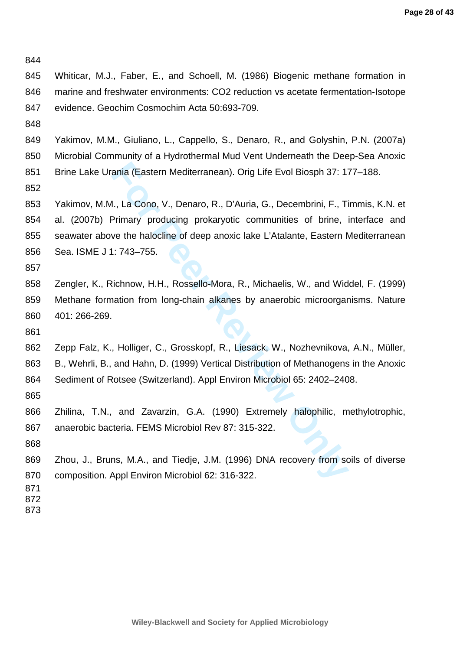844

845 Whiticar, M.J., Faber, E., and Schoell, M. (1986) Biogenic methane formation in 846 marine and freshwater environments: CO2 reduction vs acetate fermentation-Isotope 847 evidence. Geochim Cosmochim Acta 50:693-709.

848

849 Yakimov, M.M., Giuliano, L., Cappello, S., Denaro, R., and Golyshin, P.N. (2007a) 850 Microbial Community of a Hydrothermal Mud Vent Underneath the Deep-Sea Anoxic 851 Brine Lake Urania (Eastern Mediterranean). Orig Life Evol Biosph 37: 177–188.

852

ania (Eastern Mediterranean). Orig Life Evol Biosph 37: 1:<br>
I., La Cono, V., Denaro, R., D'Auria, G., Decembrini, F., Ti<br>
Primary producing prokaryotic communities of brine, i<br>
ve the halocline of deep anoxic lake L'Atalan 853 Yakimov, M.M., La Cono, V., Denaro, R., D'Auria, G., Decembrini, F., Timmis, K.N. et 854 al. (2007b) Primary producing prokaryotic communities of brine, interface and 855 seawater above the halocline of deep anoxic lake L'Atalante, Eastern Mediterranean 856 Sea. ISME J 1: 743–755.

857

858 Zengler, K., Richnow, H.H., Rossello-Mora, R., Michaelis, W., and Widdel, F. (1999) 859 Methane formation from long-chain alkanes by anaerobic microorganisms. Nature 860 401: 266-269.

861

862 Zepp Falz, K., Holliger, C., Grosskopf, R., Liesack, W., Nozhevnikova, A.N., Müller, 863 B., Wehrli, B., and Hahn, D. (1999) Vertical Distribution of Methanogens in the Anoxic 864 Sediment of Rotsee (Switzerland). Appl Environ Microbiol 65: 2402–2408.

865

866 Zhilina, T.N., and Zavarzin, G.A. (1990) Extremely halophilic, methylotrophic, 867 anaerobic bacteria. FEMS Microbiol Rev 87: 315-322.

868

869 Zhou, J., Bruns, M.A., and Tiedje, J.M. (1996) DNA recovery from soils of diverse 870 composition. Appl Environ Microbiol 62: 316-322.

- 871 872
- 873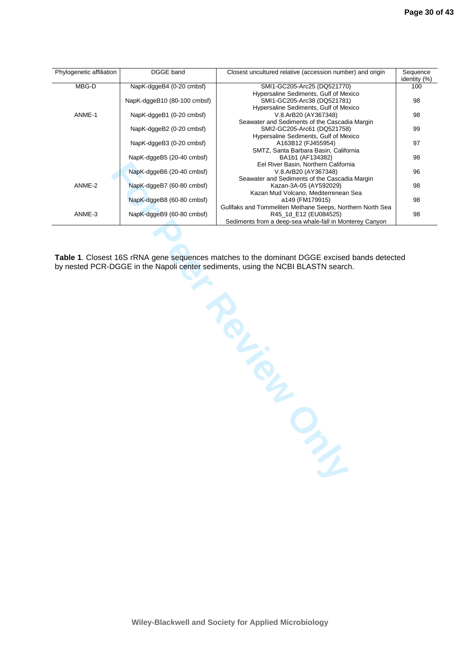| Phylogenetic affiliation | DGGE band                   | Closest uncultured relative (accession number) and origin | Sequence<br>identity (%) |
|--------------------------|-----------------------------|-----------------------------------------------------------|--------------------------|
| MBG-D                    | NapK-dggeB4 (0-20 cmbsf)    | SMI1-GC205-Arc25 (DQ521770)                               | 100                      |
|                          |                             | Hypersaline Sediments, Gulf of Mexico                     |                          |
|                          | NapK-dggeB10 (80-100 cmbsf) | SMI1-GC205-Arc38 (DQ521781)                               | 98                       |
|                          |                             | Hypersaline Sediments, Gulf of Mexico                     |                          |
| ANME-1                   | NapK-dggeB1 (0-20 cmbsf)    | V.8.ArB20 (AY367348)                                      | 98                       |
|                          |                             | Seawater and Sediments of the Cascadia Margin             |                          |
|                          | NapK-dggeB2 (0-20 cmbsf)    | SMI2-GC205-Arc61 (DQ521758)                               | 99                       |
|                          |                             | Hypersaline Sediments, Gulf of Mexico                     |                          |
|                          | NapK-dggeB3 (0-20 cmbsf)    | A163B12 (FJ455954)                                        | 97                       |
|                          |                             | SMTZ, Santa Barbara Basin, California                     |                          |
|                          | NapK-dggeB5 (20-40 cmbsf)   | BA1b1 (AF134382)                                          | 98                       |
|                          |                             | Eel River Basin, Northern California                      |                          |
|                          | NapK-dggeB6 (20-40 cmbsf)   | V.8.ArB20 (AY367348)                                      | 96                       |
|                          |                             | Seawater and Sediments of the Cascadia Margin             |                          |
| ANME-2                   | NapK-dggeB7 (60-80 cmbsf)   | Kazan-3A-05 (AY592029)                                    | 98                       |
|                          |                             | Kazan Mud Volcano, Mediterrenean Sea                      |                          |
|                          | NapK-dggeB8 (60-80 cmbsf)   | a149 (FM179915)                                           | 98                       |
|                          |                             | Gullfaks and Tommeliten Methane Seeps, Northern North Sea |                          |
| ANME-3                   | NapK-dggeB9 (60-80 cmbsf)   | R45_1d_E12 (EU084525)                                     | 98                       |
|                          |                             | Sediments from a deep-sea whale-fall in Monterey Canyon   |                          |

**Table 1**. Closest 16S rRNA gene sequences matches to the dominant DGGE excised bands detected by nested PCR-DGGE in the Napoli center sediments, using the NCBI BLASTN search.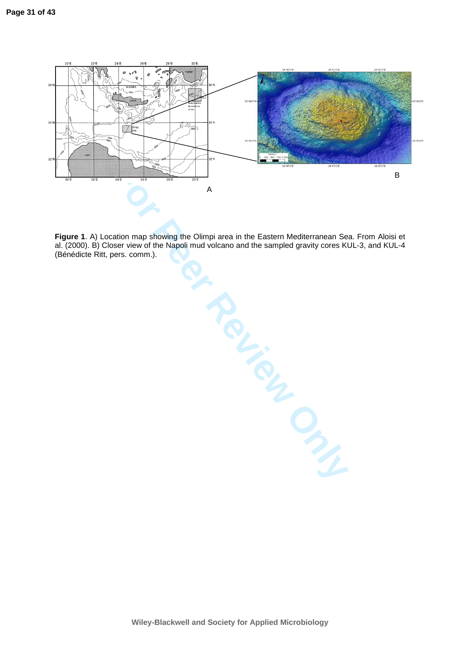

**FOR THE PROPERTY ONLY! Figure 1**. A) Location map showing the Olimpi area in the Eastern Mediterranean Sea. From Aloisi et al. (2000). B) Closer view of the Napoli mud volcano and the sampled gravity cores KUL-3, and KUL-4 (Bénédicte Ritt, pers. comm.).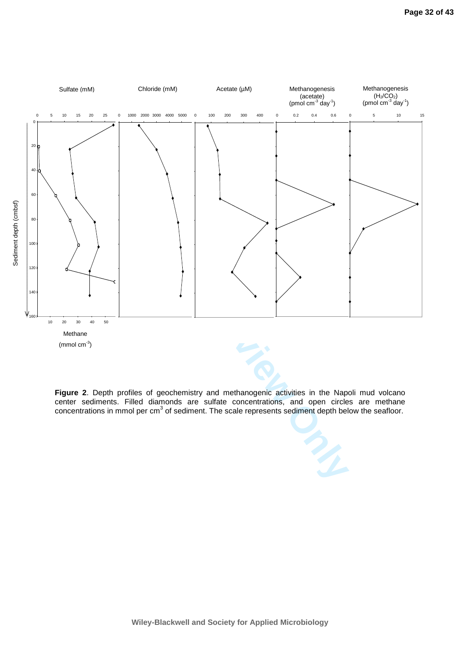

 $(mmol cm<sup>-3</sup>)$ 

**Figure 2**. Depth profiles of geochemistry and methanogenic activities in the Napoli mud volcano center sediments. Filled diamonds are sulfate concentrations, and open circles are methane concentrations in mmol per cm<sup>3</sup> of sediment. The scale represents sediment depth below the seafloor.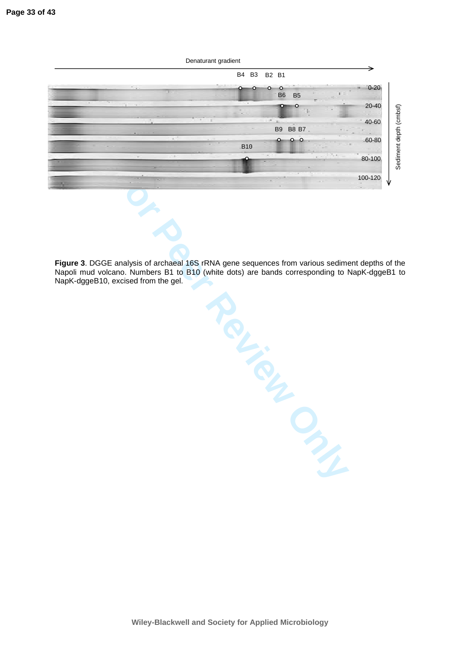

Mercy Clays Review Only **Figure 3**. DGGE analysis of archaeal 16S rRNA gene sequences from various sediment depths of the Napoli mud volcano. Numbers B1 to B10 (white dots) are bands corresponding to NapK-dggeB1 to NapK-dggeB10, excised from the gel.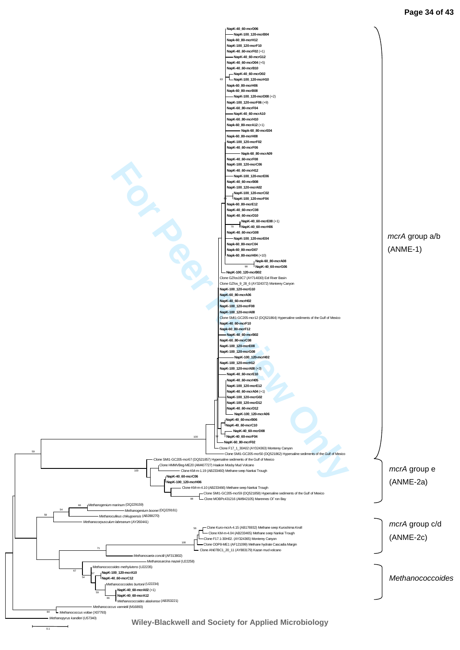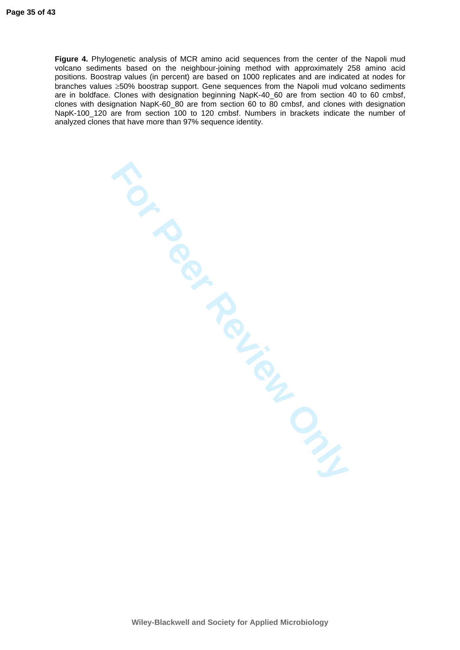**FOR REVIEW ONLY Figure 4.** Phylogenetic analysis of MCR amino acid sequences from the center of the Napoli mud volcano sediments based on the neighbour-joining method with approximately 258 amino acid positions. Boostrap values (in percent) are based on 1000 replicates and are indicated at nodes for branches values ≥50% boostrap support. Gene sequences from the Napoli mud volcano sediments are in boldface. Clones with designation beginning NapK-40\_60 are from section 40 to 60 cmbsf, clones with designation NapK-60\_80 are from section 60 to 80 cmbsf, and clones with designation NapK-100\_120 are from section 100 to 120 cmbsf. Numbers in brackets indicate the number of analyzed clones that have more than 97% sequence identity.

**Wiley-Blackwell and Society for Applied Microbiology**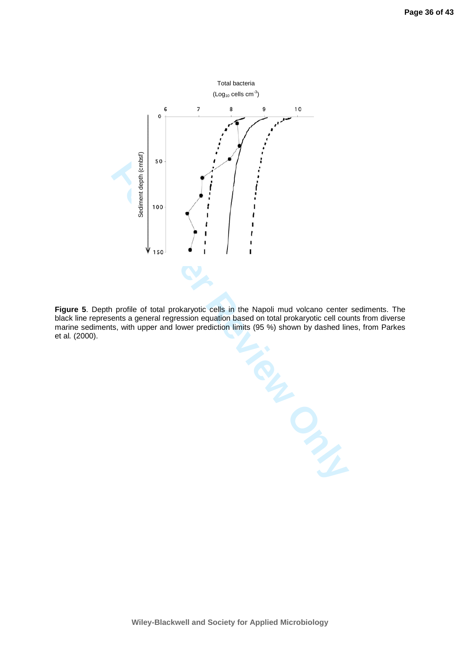

**Figure 5**. Depth profile of total prokaryotic cells in the Napoli mud volcano center sediments. The black line represents a general regression equation based on total prokaryotic cell counts from diverse marine sediments, with upper and lower prediction limits (95 %) shown by dashed lines, from Parkes et al. (2000).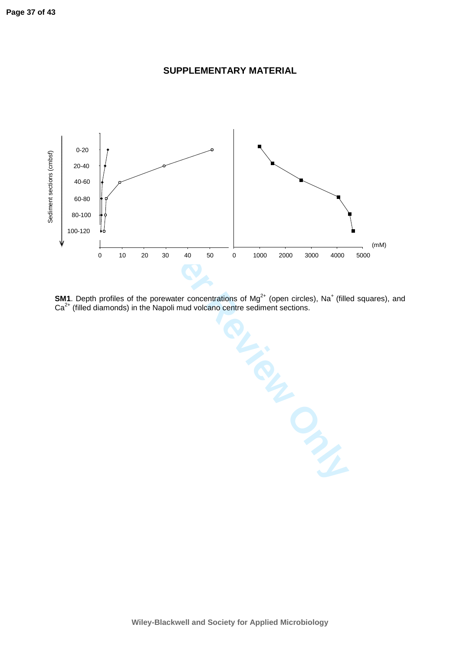

**SUPPLEMENTARY MATERIAL** 

**SM1**. Depth profiles of the porewater concentrations of  $Mg^{2+}$  (open circles), Na<sup>+</sup> (filled squares), and  $Ca<sup>2+</sup>$  (filled diamonds) in the Napoli mud volcano centre sediment sections.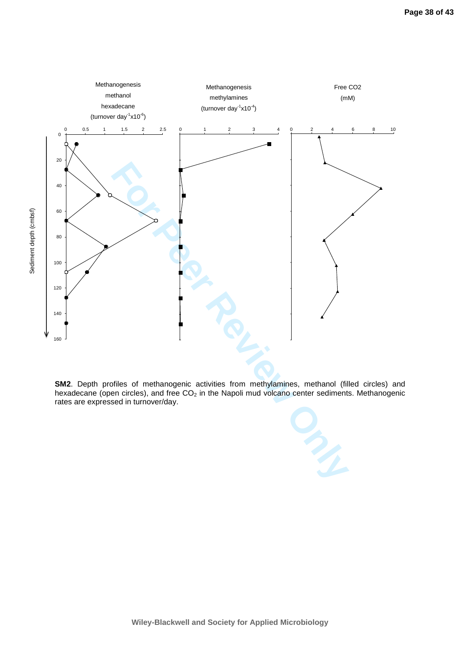

**SM2**. Depth profiles of methanogenic activities from methylamines, methanol (filled circles) and hexadecane (open circles), and free  $CO<sub>2</sub>$  in the Napoli mud volcano center sediments. Methanogenic rates are expressed in turnover/day.



**Wiley-Blackwell and Society for Applied Microbiology**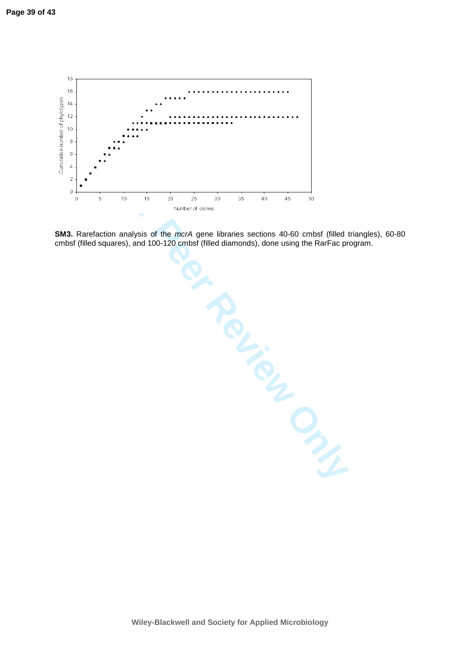

**SM3.** Rarefaction analysis of the mcrA gene libraries sections 40-60 cmbsf (filled triangles), 60-80 cmbsf (filled squares), and 100-120 cmbsf (filled diamonds), done using the RarFac program.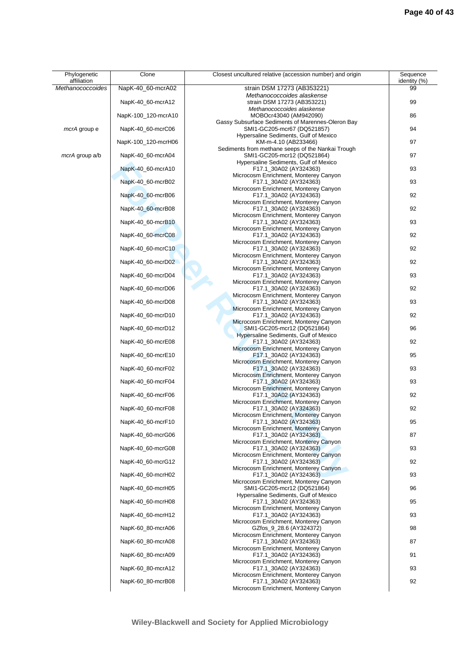| Phylogenetic<br>affiliation | Clone               | Closest uncultured relative (accession number) and origin            | Sequence<br>identity (%) |
|-----------------------------|---------------------|----------------------------------------------------------------------|--------------------------|
| Methanococcoides            | NapK-40_60-mcrA02   | strain DSM 17273 (AB353221)                                          | 99                       |
|                             |                     | Methanococcoides alaskense                                           |                          |
|                             | NapK-40_60-mcrA12   | strain DSM 17273 (AB353221)<br>Methanococcoides alaskense            | 99                       |
|                             | NapK-100_120-mcrA10 | MOBOcr43040 (AM942090)                                               | 86                       |
|                             |                     | Gassy Subsurface Sediments of Marennes-Oleron Bay                    |                          |
| <i>mcrA</i> group e         | NapK-40_60-mcrC06   | SMI1-GC205-mcr67 (DQ521857)                                          | 94                       |
|                             | NapK-100_120-mcrH06 | Hypersaline Sediments, Gulf of Mexico<br>KM-m-4.10 (AB233466)        | 97                       |
|                             |                     | Sediments from methane seeps of the Nankai Trough                    |                          |
| mcrA group a/b              | NapK-40 60-mcrA04   | SMI1-GC205-mcr12 (DQ521864)                                          | 97                       |
|                             |                     | Hypersaline Sediments, Gulf of Mexico                                |                          |
|                             | NapK-40_60-mcrA10   | F17.1_30A02 (AY324363)<br>Microcosm Enrichment, Monterey Canyon      | 93                       |
|                             | NapK-40_60-mcrB02   | F17.1_30A02 (AY324363)                                               | 93                       |
|                             |                     | Microcosm Enrichment, Monterey Canyon                                |                          |
|                             | NapK-40_60-mcrB06   | F17.1_30A02 (AY324363)                                               | 92                       |
|                             | NapK-40_60-mcrB08   | Microcosm Enrichment, Monterey Canyon<br>F17.1_30A02 (AY324363)      | 92                       |
|                             |                     | Microcosm Enrichment, Monterey Canyon                                |                          |
|                             | NapK-40_60-mcrB10   | F17.1_30A02 (AY324363)                                               | 93                       |
|                             |                     | Microcosm Enrichment, Monterey Canyon                                |                          |
|                             | NapK-40 60-mcrC08   | F17.1_30A02 (AY324363)<br>Microcosm Enrichment, Monterey Canyon      | 92                       |
|                             | NapK-40_60-mcrC10   | F17.1_30A02 (AY324363)                                               | 92                       |
|                             |                     | Microcosm Enrichment, Monterey Canyon                                |                          |
|                             | NapK-40 60-mcrD02   | F17.1_30A02 (AY324363)                                               | 92                       |
|                             | NapK-40_60-mcrD04   | Microcosm Enrichment, Monterey Canyon<br>F17.1_30A02 (AY324363)      | 93                       |
|                             |                     | Microcosm Enrichment, Monterey Canyon                                |                          |
|                             | NapK-40_60-mcrD06   | F17.1_30A02 (AY324363)                                               | 92                       |
|                             |                     | Microcosm Enrichment, Monterey Canyon                                |                          |
|                             | NapK-40_60-mcrD08   | F17.1_30A02 (AY324363)<br>Microcosm Enrichment, Monterey Canyon      | 93                       |
|                             | NapK-40_60-mcrD10   | F17.1_30A02 (AY324363)                                               | 92                       |
|                             |                     | Microcosm Enrichment, Monterey Canyon                                |                          |
|                             | NapK-40_60-mcrD12   | SMI1-GC205-mcr12 (DQ521864)<br>Hypersaline Sediments, Gulf of Mexico | 96                       |
|                             | NapK-40_60-mcrE08   | F17.1_30A02 (AY324363)                                               | 92                       |
|                             |                     | Microcosm Enrichment, Monterey Canyon                                |                          |
|                             | NapK-40_60-mcrE10   | F17.1_30A02 (AY324363)                                               | 95                       |
|                             | NapK-40_60-mcrF02   | Microcosm Enrichment, Monterey Canyon<br>F17.1_30A02 (AY324363)      | 93                       |
|                             |                     | Microcosm Enrichment, Monterey Canyon                                |                          |
|                             | NapK-40_60-mcrF04   | F17.1_30A02 (AY324363)                                               | 93                       |
|                             | NapK-40 60-mcrF06   | Microcosm Enrichment, Monterey Canyon<br>F17.1_30A02 (AY324363)      | 92                       |
|                             |                     | Microcosm Enrichment, Monterey Canyon                                |                          |
|                             | NapK-40_60-mcrF08   | F17.1_30A02 (AY324363)                                               | 92                       |
|                             |                     | Microcosm Enrichment, Monterey Canyon                                |                          |
|                             | NapK-40_60-mcrF10   | F17.1_30A02 (AY324363)<br>Microcosm Enrichment, Monterey Canyon      | 95                       |
|                             | NapK-40 60-mcrG06   | F17.1 30A02 (AY324363)                                               | 87                       |
|                             |                     | Microcosm Enrichment, Monterey Canyon                                |                          |
|                             | NapK-40_60-mcrG08   | F17.1_30A02 (AY324363)                                               | 93                       |
|                             | NapK-40 60-mcrG12   | Microcosm Enrichment, Monterey Canyon<br>F17.1_30A02 (AY324363)      | 92                       |
|                             |                     | Microcosm Enrichment, Monterey Canyon                                |                          |
|                             | NapK-40_60-mcrH02   | F17.1_30A02 (AY324363)                                               | 93                       |
|                             | NapK-40 60-mcrH05   | Microcosm Enrichment, Monterey Canyon<br>SMI1-GC205-mcr12 (DQ521864) | 96                       |
|                             |                     | Hypersaline Sediments, Gulf of Mexico                                |                          |
|                             | NapK-40_60-mcrH08   | F17.1_30A02 (AY324363)                                               | 95                       |
|                             |                     | Microcosm Enrichment, Monterey Canyon                                | 93                       |
|                             | NapK-40_60-mcrH12   | F17.1_30A02 (AY324363)<br>Microcosm Enrichment, Monterey Canyon      |                          |
|                             | NapK-60_80-mcrA06   | GZfos_9_28.6 (AY324372)                                              | 98                       |
|                             |                     | Microcosm Enrichment, Monterey Canyon                                |                          |
|                             | NapK-60_80-mcrA08   | F17.1_30A02 (AY324363)<br>Microcosm Enrichment, Monterey Canyon      | 87                       |
|                             | NapK-60_80-mcrA09   | F17.1_30A02 (AY324363)                                               | 91                       |
|                             |                     | Microcosm Enrichment, Monterey Canyon                                |                          |
|                             | NapK-60_80-mcrA12   | F17.1_30A02 (AY324363)<br>Microcosm Enrichment, Monterey Canyon      | 93                       |
|                             | NapK-60_80-mcrB08   | F17.1_30A02 (AY324363)                                               | 92                       |
|                             |                     | Microcosm Enrichment, Monterey Canyon                                |                          |
|                             |                     |                                                                      |                          |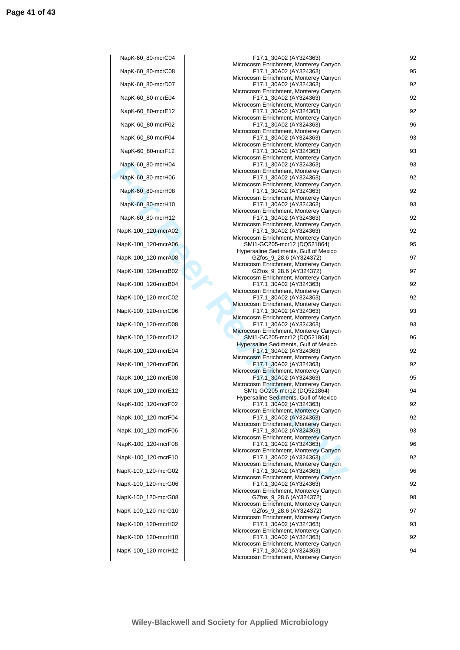| NapK-60_80-mcrC04   |
|---------------------|
| NapK-60_80-mcrC08   |
| NapK-60_80-mcrD07   |
| NapK-60_80-mcrE04   |
| NapK-60_80-mcrE12   |
| NapK-60_80-mcrF02   |
| NapK-60_80-mcrF04   |
| NapK-60_80-mcrF12   |
| NapK-60_80-mcrH04   |
| NapK-60_80-mcrH06   |
| NapK-60_80-mcrH08   |
| NapK-60_80-mcrH10   |
| NapK-60_80-mcrH12   |
| NapK-100_120-mcrA02 |
| NapK-100_120-mcrA06 |
| NapK-100_120-mcrA08 |
| NapK-100_120-mcrB02 |
| NapK-100_120-mcrB04 |
| NapK-100_120-mcrC02 |
| NapK-100_120-mcrC06 |
| NapK-100_120-mcrD08 |
| NapK-100_120-mcrD12 |
| NapK-100_120-mcrE04 |
| NapK-100_120-mcrE06 |
| NapK-100_120-mcrE08 |
| NapK-100_120-mcrE12 |
| NapK-100_120-mcrF02 |
| NapK-100_120-mcrF04 |
| NapK-100_120-mcrF06 |
| NapK-100_120-mcrF08 |
| NapK-100_120-mcrF10 |
| NapK-100_120-mcrG02 |
| NapK-100_120-mcrG06 |
| NapK-100_120-mcrG08 |
| NapK-100_120-mcrG10 |
| NapK-100_120-mcrH02 |
| NapK-100_120-mcrH10 |
| NapK-100_120-mcrH12 |
|                     |

| NapK-60_80-mcrC04   | F17.1_30A02 (AY324363)                                               | 92 |
|---------------------|----------------------------------------------------------------------|----|
| NapK-60_80-mcrC08   | Microcosm Enrichment, Monterey Canyon<br>F17.1 30A02 (AY324363)      | 95 |
| NapK-60 80-mcrD07   | Microcosm Enrichment, Monterey Canyon<br>F17.1_30A02 (AY324363)      | 92 |
| NapK-60_80-mcrE04   | Microcosm Enrichment, Monterey Canyon<br>F17.1_30A02 (AY324363)      | 92 |
| NapK-60_80-mcrE12   | Microcosm Enrichment, Monterey Canyon<br>F17.1_30A02 (AY324363)      | 92 |
| NapK-60_80-mcrF02   | Microcosm Enrichment, Monterey Canyon<br>F17.1_30A02 (AY324363)      | 96 |
| NapK-60_80-mcrF04   | Microcosm Enrichment, Monterey Canyon<br>F17.1_30A02 (AY324363)      | 93 |
|                     | Microcosm Enrichment, Monterey Canyon                                |    |
| NapK-60_80-mcrF12   | F17.1 30A02 (AY324363)<br>Microcosm Enrichment, Monterey Canyon      | 93 |
| NapK-60_80-mcrH04   | F17.1 30A02 (AY324363)<br>Microcosm Enrichment, Monterey Canyon      | 93 |
| NapK-60_80-mcrH06   | F17.1_30A02 (AY324363)<br>Microcosm Enrichment, Monterey Canyon      | 92 |
| NapK-60_80-mcrH08   | F17.1_30A02 (AY324363)<br>Microcosm Enrichment, Monterey Canyon      | 92 |
| NapK-60_80-mcrH10   | F17.1_30A02 (AY324363)<br>Microcosm Enrichment, Monterey Canyon      | 93 |
| NapK-60_80-mcrH12   | F17.1_30A02 (AY324363)                                               | 92 |
| NapK-100_120-mcrA02 | Microcosm Enrichment, Monterey Canyon<br>F17.1_30A02 (AY324363)      | 92 |
| NapK-100_120-mcrA06 | Microcosm Enrichment, Monterey Canyon<br>SMI1-GC205-mcr12 (DQ521864) | 95 |
| NapK-100_120-mcrA08 | Hypersaline Sediments, Gulf of Mexico<br>GZfos_9_28.6 (AY324372)     | 97 |
| NapK-100_120-mcrB02 | Microcosm Enrichment, Monterey Canyon<br>GZfos_9_28.6 (AY324372)     | 97 |
| NapK-100_120-mcrB04 | Microcosm Enrichment, Monterey Canyon<br>F17.1_30A02 (AY324363)      | 92 |
| NapK-100_120-mcrC02 | Microcosm Enrichment, Monterey Canyon<br>F17.1_30A02 (AY324363)      | 92 |
|                     | Microcosm Enrichment, Monterey Canyon                                |    |
| NapK-100_120-mcrC06 | F17.1_30A02 (AY324363)<br>Microcosm Enrichment, Monterey Canyon      | 93 |
| NapK-100_120-mcrD08 | F17.1_30A02 (AY324363)<br>Microcosm Enrichment, Monterey Canyon      | 93 |
| NapK-100_120-mcrD12 | SMI1-GC205-mcr12 (DQ521864)<br>Hypersaline Sediments, Gulf of Mexico | 96 |
| NapK-100_120-mcrE04 | F17.1_30A02 (AY324363)<br>Microcosm Enrichment, Monterey Canyon      | 92 |
| NapK-100_120-mcrE06 | F17.1_30A02 (AY324363)<br>Microcosm Enrichment, Monterey Canyon      | 92 |
| NapK-100_120-mcrE08 | F17.1_30A02 (AY324363)<br>Microcosm Enrichment, Monterey Canyon      | 95 |
| NapK-100_120-mcrE12 | SMI1-GC205-mcr12 (DQ521864)                                          | 94 |
| NapK-100_120-mcrF02 | Hypersaline Sediments, Gulf of Mexico<br>F17.1_30A02 (AY324363)      | 92 |
| NapK-100_120-mcrF04 | Microcosm Enrichment, Monterey Canyon<br>F17.1_30A02 (AY324363)      | 92 |
| NapK-100_120-mcrF06 | Microcosm Enrichment, Monterey Canyon<br>F17.1_30A02 (AY324363)      | 93 |
| NapK-100 120-mcrF08 | Microcosm Enrichment, Monterey Canyon<br>F17.1_30A02 (AY324363)      | 96 |
| NapK-100_120-mcrF10 | Microcosm Enrichment, Monterey Canyon<br>F17.1 30A02 (AY324363)      | 92 |
| NapK-100_120-mcrG02 | Microcosm Enrichment, Monterey Canyon<br>F17.1_30A02 (AY324363)      | 96 |
|                     | Microcosm Enrichment, Monterey Canyon                                |    |
| NapK-100_120-mcrG06 | F17.1_30A02 (AY324363)<br>Microcosm Enrichment, Monterey Canyon      | 92 |
| NapK-100_120-mcrG08 | GZfos_9_28.6 (AY324372)<br>Microcosm Enrichment, Monterey Canyon     | 98 |
| NapK-100_120-mcrG10 | GZfos_9_28.6 (AY324372)<br>Microcosm Enrichment, Monterey Canyon     | 97 |
| NapK-100_120-mcrH02 | F17.1_30A02 (AY324363)<br>Microcosm Enrichment, Monterey Canyon      | 93 |
| NapK-100_120-mcrH10 | F17.1_30A02 (AY324363)<br>Microcosm Enrichment, Monterey Canyon      | 92 |
| NapK-100_120-mcrH12 | F17.1_30A02 (AY324363)                                               | 94 |
|                     | Microcosm Enrichment, Monterey Canyon                                |    |